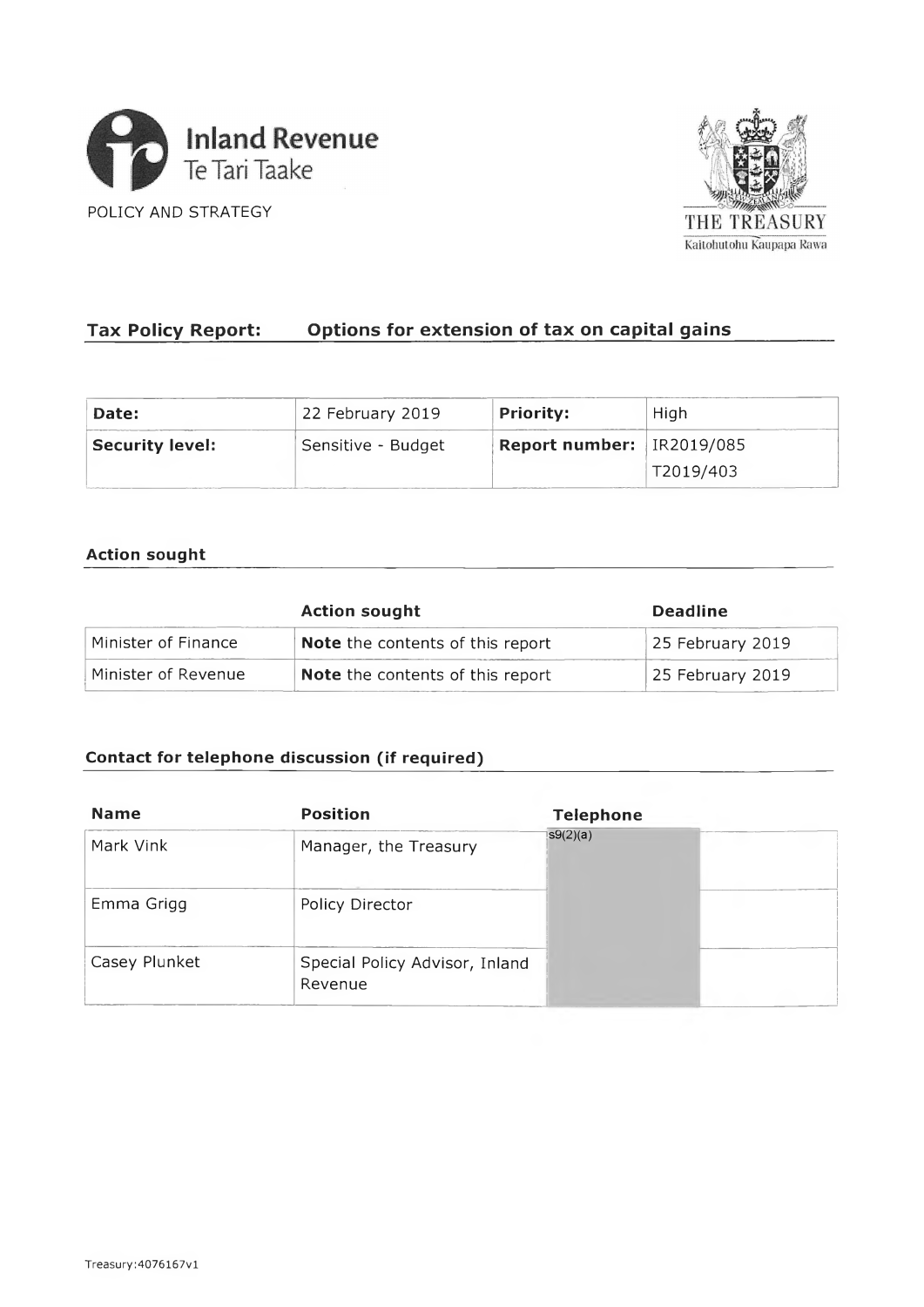



# **Tax Policy Report: Options for exten sion of tax on capital gains**

| Date:                  | 22 February 2019   | <b>Priority:</b>              | High      |  |
|------------------------|--------------------|-------------------------------|-----------|--|
| <b>Security level:</b> | Sensitive - Budget | Report number: $ $ IR2019/085 |           |  |
|                        |                    |                               | T2019/403 |  |

## **Action sought**

|                     | <b>Action sought</b>                    | <b>Deadline</b>  |
|---------------------|-----------------------------------------|------------------|
| Minister of Finance | Note the contents of this report        | 25 February 2019 |
| Minister of Revenue | <b>Note</b> the contents of this report | 25 February 2019 |

# **Contact for telephone discussion (if required)**

| <b>Name</b>   | <b>Position</b>                           | <b>Telephone</b> |  |
|---------------|-------------------------------------------|------------------|--|
| Mark Vink     | Manager, the Treasury                     | S(2)(a)          |  |
| Emma Grigg    | Policy Director                           |                  |  |
| Casey Plunket | Special Policy Advisor, Inland<br>Revenue |                  |  |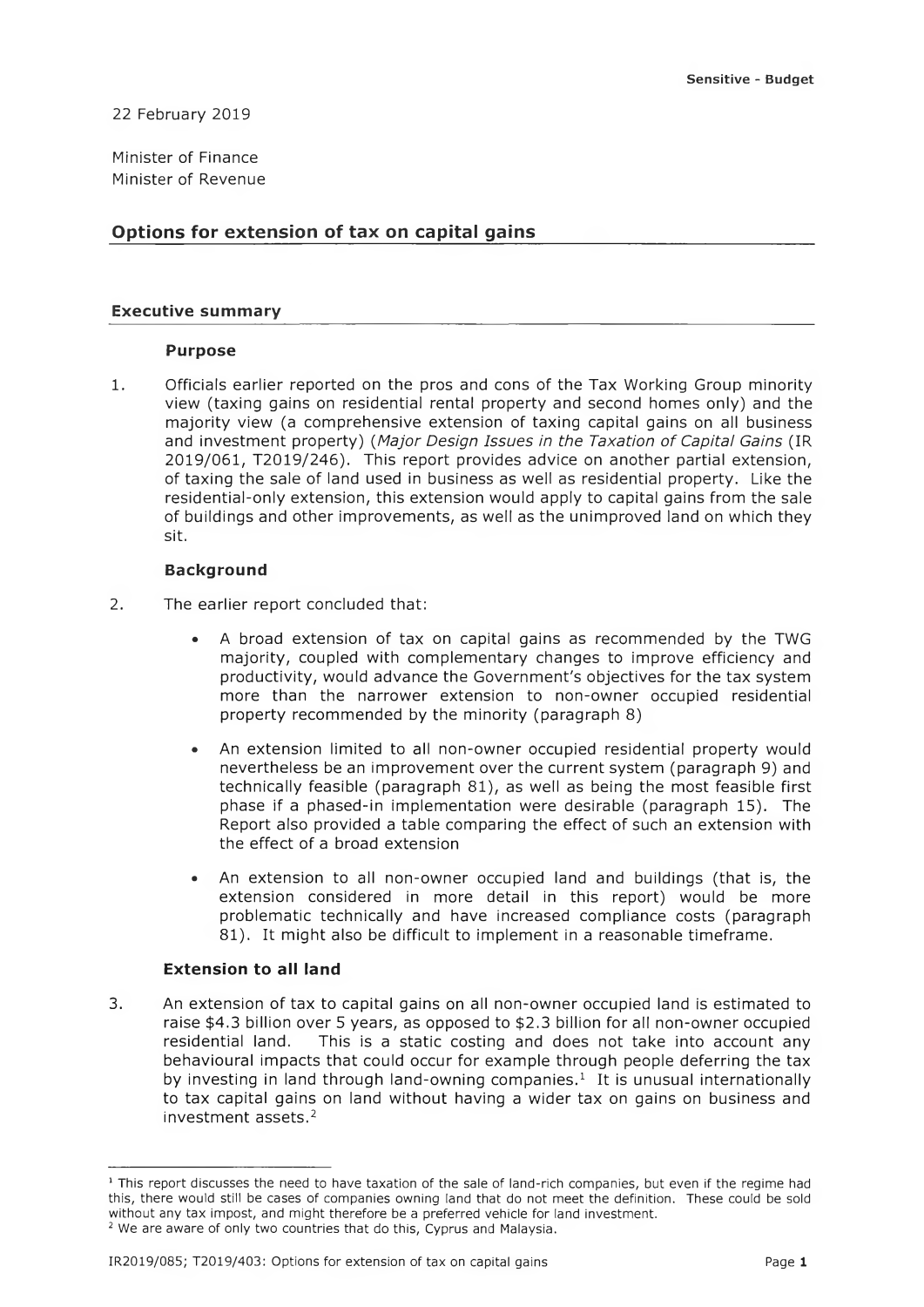22 February 2019

Minister of Finance Minister of Revenue

## **Options for extension of tax on capital gains**

## **Executive summary**

#### **Purpose**

1. Officials earlier reported on the pros and cons of the Tax Working Group minority view (taxing gains on residential rental property and second homes only) and the majority view (a comprehensive extension of taxing capital gains on all business and investment property) (Major Design Issues in the Taxation of Capital Gains (IR 2019/061, T2019/246). This report provides advice on another partial extension, of taxing the sale of land used in business as well as residential property. Like the residential-only extension, this extension would apply to capital gains from the sale of buildings and other improvements, as well as the unimproved land on which they sit.

## **Background**

- 2. The earlier report concluded that:
	- A broad extension of tax on capital gains as recommended by the TWG majority, coupled with complementary changes to improve efficiency and productivity, would advance the Government's objectives for the tax system more than the narrower extension to non-owner occupied residential property recommended by the minority (paragraph 8)
	- An extension limited to all non-owner occupied residential property would nevertheless be an improvement over the current system (paragraph 9) and technically feasible (paragraph 81), as well as being the most feasible first phase if a phased-in implementation were desirable (paragraph 15). The Report also provided a table comparing the effect of such an extension with the effect of a broad extension
	- An extension to all non-owner occupied land and buildings (that is, the extension considered in more detail in this report) would be more problematic technically and have increased compliance costs (paragraph 81). It might also be difficult to implement in a reasonable timeframe.

## **Extension to all land**

3. An extension of tax to capital gains on all non-owner occupied land is estimated to raise \$4.3 billion over 5 years, as opposed to \$2.3 billion for all non-owner occupied residential land. This is a static costing and does not take into account any behavioural impacts that could occur for example through people deferring the tax by investing in land through land-owning companies.<sup>1</sup> It is unusual internationally to tax capital gains on land without having a wider tax on gains on business and investment assets  $2$ 

<sup>&</sup>lt;sup>1</sup> This report discusses the need to have taxation of the sale of land-rich companies, but even if the regime had this, there would still be cases of companies owning land that do not meet the definition. These could be sold without any tax impost, and might therefore be a preferred vehicle for land investment.

<sup>&</sup>lt;sup>2</sup> We are aware of only two countries that do this, Cyprus and Malaysia.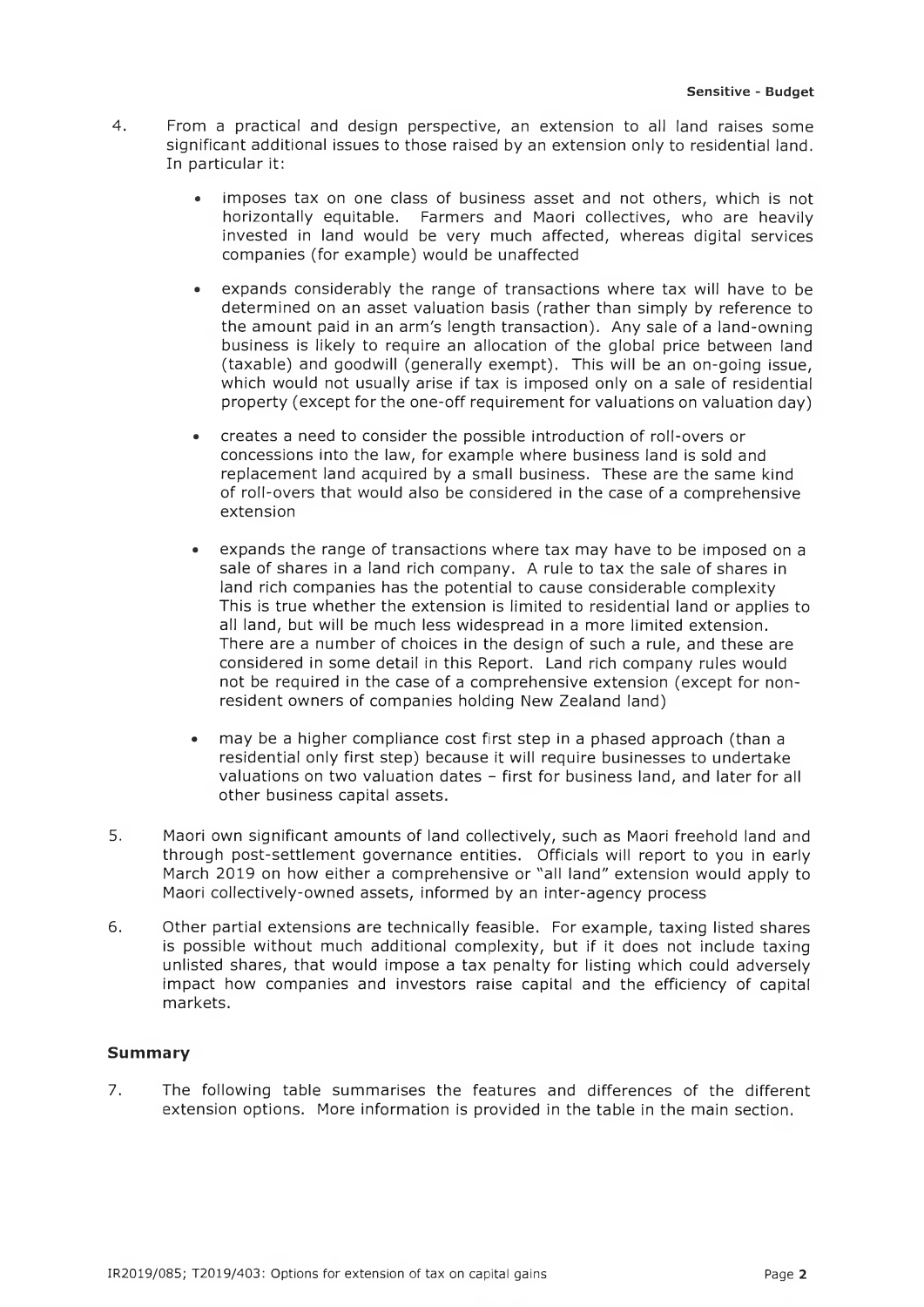- 4. From a practical and design perspective, an extension to all land raises some significant additional issues to those raised by an extension only to residential land. In particular it:
	- imposes tax on one class of business asset and not others, which is not horizontally equitable. Farmers and Maori collectives, who are heavily invested in land would be very much affected, whereas digital services companies (for example) would be unaffected
	- expands considerably the range of transactions where tax will have to be determined on an asset valuation basis (rather than simply by reference to the amount paid in an arm's length transaction). Any sale of a land-owning business is likely to require an allocation of the global price between land (taxable) and goodwill (generally exempt). This will be an on-going issue, which would not usually arise if tax is imposed only on a sale of residential property (except for the one-off requirement for valuations on valuation day)
	- creates a need to consider the possible introduction of roll-overs or concessions into the law, for example where business land is sold and replacement land acquired by a small business. These are the same kind of roll-overs that would also be considered in the case of a comprehensive extension
	- expands the range of transactions where tax may have to be imposed on a sale of shares in a land rich company. A rule to tax the sale of shares in land rich companies has the potential to cause considerable complexity This is true whether the extension is limited to residential land or applies to all land, but will be much less widespread in a more limited extension. There are a number of choices in the design of such a rule, and these are considered in some detail in this Report. Land rich company rules would not be required in the case of a comprehensive extension (except for nonresident owners of companies holding New Zealand land)
	- may be a higher compliance cost first step in a phased approach (than a residential only first step) because it will require businesses to undertake valuations on two valuation dates - first for business land, and later for all other business capital assets.
- 5. Maori own significant amounts of land collectively, such as Maori freehold land and through post-settlement governance entities. Officials will report to you in early March 2019 on how either a comprehensive or "all land" extension would apply to Maori collectively-owned assets, informed by an inter-agency process
- 6. Other partial extensions are technically feasible. For example, taxing listed shares is possible without much additional complexity, but if it does not include taxing unlisted shares, that would impose a tax penalty for listing which could adversely impact how companies and investors raise capital and the efficiency of capital markets.

## **Summary**

7. The following table summarises the features and differences of the different extension options. More information is provided in the table in the main section.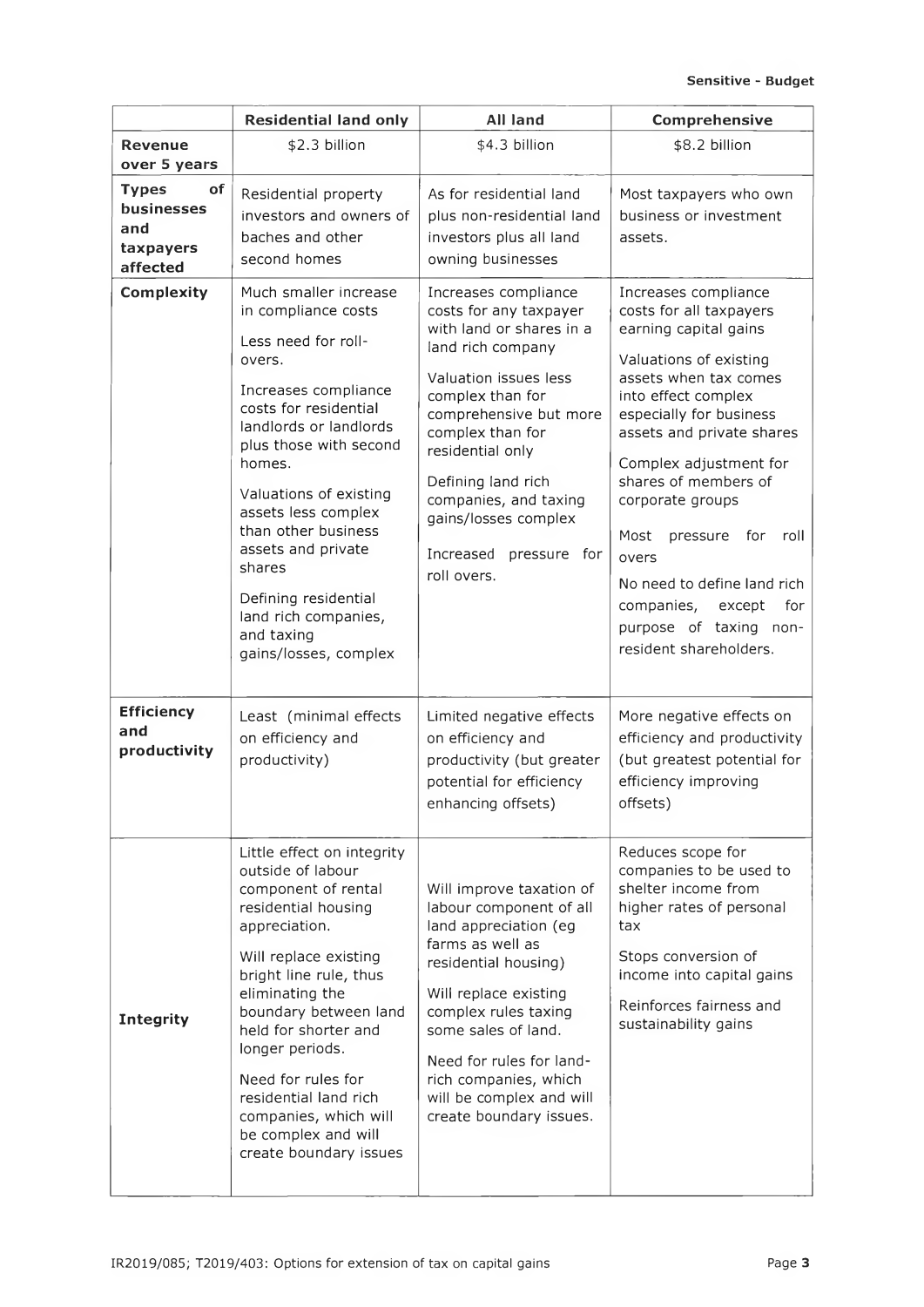|                                                                  | <b>Residential land only</b>                                                                                                                                                                                                                                                                                                                                                                | <b>All land</b>                                                                                                                                                                                                                                                                                                                   | Comprehensive                                                                                                                                                                                                                                                                                                                                                                                                                               |
|------------------------------------------------------------------|---------------------------------------------------------------------------------------------------------------------------------------------------------------------------------------------------------------------------------------------------------------------------------------------------------------------------------------------------------------------------------------------|-----------------------------------------------------------------------------------------------------------------------------------------------------------------------------------------------------------------------------------------------------------------------------------------------------------------------------------|---------------------------------------------------------------------------------------------------------------------------------------------------------------------------------------------------------------------------------------------------------------------------------------------------------------------------------------------------------------------------------------------------------------------------------------------|
| Revenue<br>over 5 years                                          | \$2.3 billion                                                                                                                                                                                                                                                                                                                                                                               | \$4.3 billion                                                                                                                                                                                                                                                                                                                     | \$8.2 billion                                                                                                                                                                                                                                                                                                                                                                                                                               |
| <b>Types</b><br>of<br>businesses<br>and<br>taxpayers<br>affected | Residential property<br>investors and owners of<br>baches and other<br>second homes                                                                                                                                                                                                                                                                                                         | As for residential land<br>plus non-residential land<br>investors plus all land<br>owning businesses                                                                                                                                                                                                                              | Most taxpayers who own<br>business or investment<br>assets.                                                                                                                                                                                                                                                                                                                                                                                 |
| <b>Complexity</b>                                                | Much smaller increase<br>in compliance costs<br>Less need for roll-<br>overs.<br>Increases compliance<br>costs for residential<br>landlords or landlords<br>plus those with second<br>homes.<br>Valuations of existing<br>assets less complex<br>than other business<br>assets and private<br>shares<br>Defining residential<br>land rich companies,<br>and taxing<br>gains/losses, complex | Increases compliance<br>costs for any taxpayer<br>with land or shares in a<br>land rich company<br>Valuation issues less<br>complex than for<br>comprehensive but more<br>complex than for<br>residential only<br>Defining land rich<br>companies, and taxing<br>gains/losses complex<br>Increased<br>pressure for<br>roll overs. | Increases compliance<br>costs for all taxpayers<br>earning capital gains<br>Valuations of existing<br>assets when tax comes<br>into effect complex<br>especially for business<br>assets and private shares<br>Complex adjustment for<br>shares of members of<br>corporate groups<br>Most<br>pressure for<br>roll<br>overs<br>No need to define land rich<br>companies,<br>except<br>for<br>purpose of taxing non-<br>resident shareholders. |
| <b>Efficiency</b><br>and<br>productivity                         | Least (minimal effects<br>on efficiency and<br>productivity)                                                                                                                                                                                                                                                                                                                                | Limited negative effects<br>on efficiency and<br>productivity (but greater<br>potential for efficiency<br>enhancing offsets)                                                                                                                                                                                                      | More negative effects on<br>efficiency and productivity<br>(but greatest potential for<br>efficiency improving<br>offsets)                                                                                                                                                                                                                                                                                                                  |
| <b>Integrity</b>                                                 | Little effect on integrity<br>outside of labour<br>component of rental<br>residential housing<br>appreciation.<br>Will replace existing<br>bright line rule, thus<br>eliminating the<br>boundary between land<br>held for shorter and<br>longer periods.<br>Need for rules for<br>residential land rich<br>companies, which will<br>be complex and will<br>create boundary issues           | Will improve taxation of<br>labour component of all<br>land appreciation (eg<br>farms as well as<br>residential housing)<br>Will replace existing<br>complex rules taxing<br>some sales of land.<br>Need for rules for land-<br>rich companies, which<br>will be complex and will<br>create boundary issues.                      | Reduces scope for<br>companies to be used to<br>shelter income from<br>higher rates of personal<br>tax<br>Stops conversion of<br>income into capital gains<br>Reinforces fairness and<br>sustainability gains                                                                                                                                                                                                                               |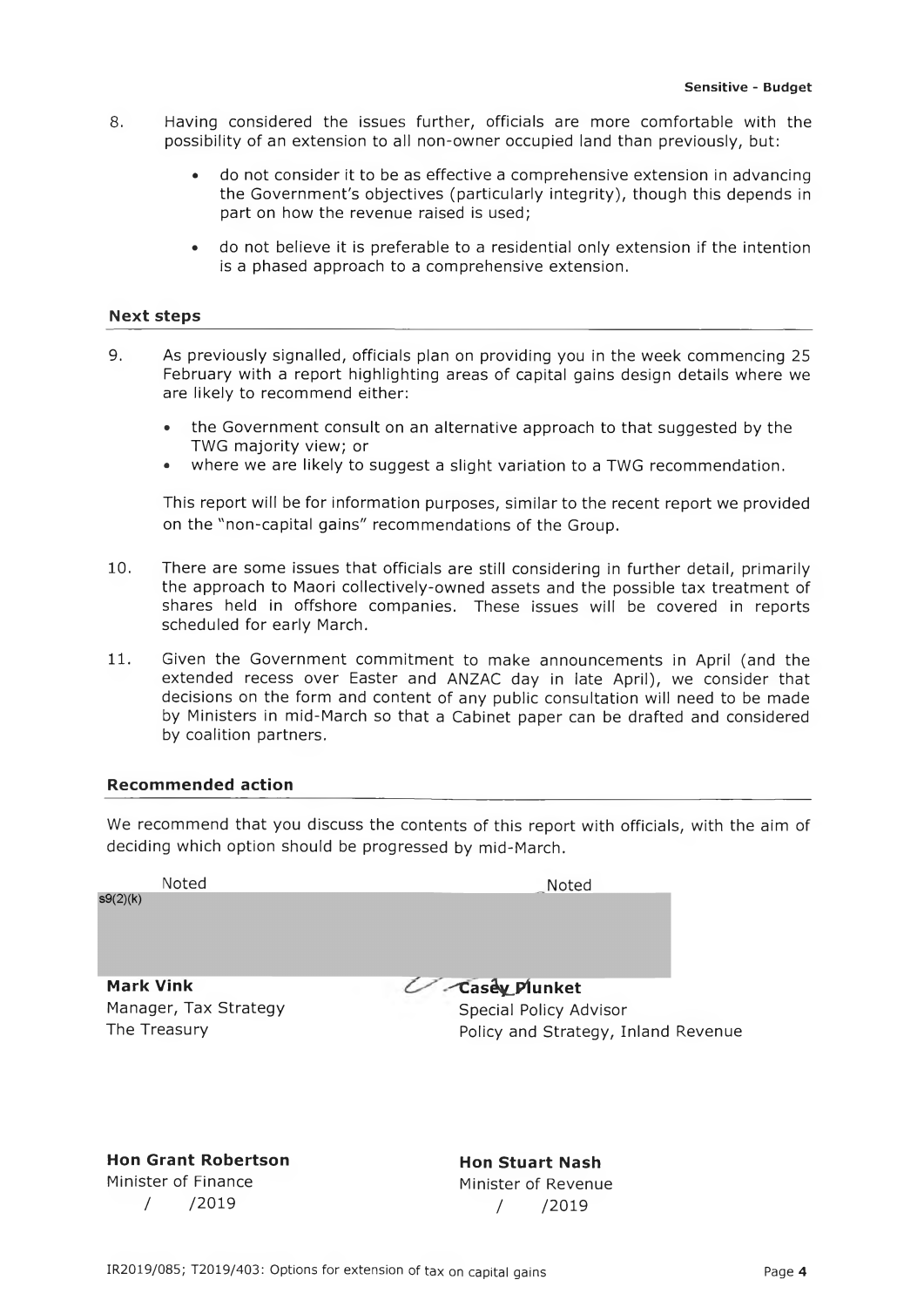- 8. Having considered the issues further, officials are more comfortable with the possibility of an extension to all non-owner occupied land than previously, but:
	- . do not consider it to be as effective a comprehensive extension in advancing the Government's objectives (particularly integrity), though this depends in part on how the revenue raised is used;
	- ° do not believe it is preferable to a residential only extension if the intention is a phased approach to a comprehensive extension.

#### **Next steps**

- 9. As previously signalled, officials plan on providing you in the week commencing 25 February with a report highlighting areas of capital gains design details where we are likely to recommend either:
	- . the Government consult on an alternative approach to that suggested by the TWG majority view; or
	- where we are likely to suggest a slight variation to a TWG recommendation.

This report will be for information purposes, similar to the recent report we provided on the "non-capital gains" recommendations of the Group.

- 10. There are some issues that officials are still considering in further detail, primarily the approach to Maori collectively-owned assets and the possible tax treatment of shares held in offshore companies. These issues will be covered in reports scheduled for early March.
- 11. Given the Government commitment to make announcements in April (and the extended recess over Easter and ANZAC day in late April), we consider that decisions on the form and content of any public consultation will need to be made by Ministers in mid-March so that a Cabinet paper can be drafted and considered by coalition partners.

#### **Recommended action**

We recommend that you discuss the contents of this report with officials, with the aim of deciding which option should be progressed by mid-March.

 $s9(2)(k)$ 

Noted Noted Noted **Noted**

**Mark Vink** Manager, Tax Strategy The Treasury

**C a s e y Plunket** Special Policy Advisor Policy and Strategy, Inland Revenue

**Hon Grant Robertson** Minister of Finance / /2019

**Hon Stuart Nash** Minister of Revenue / /2019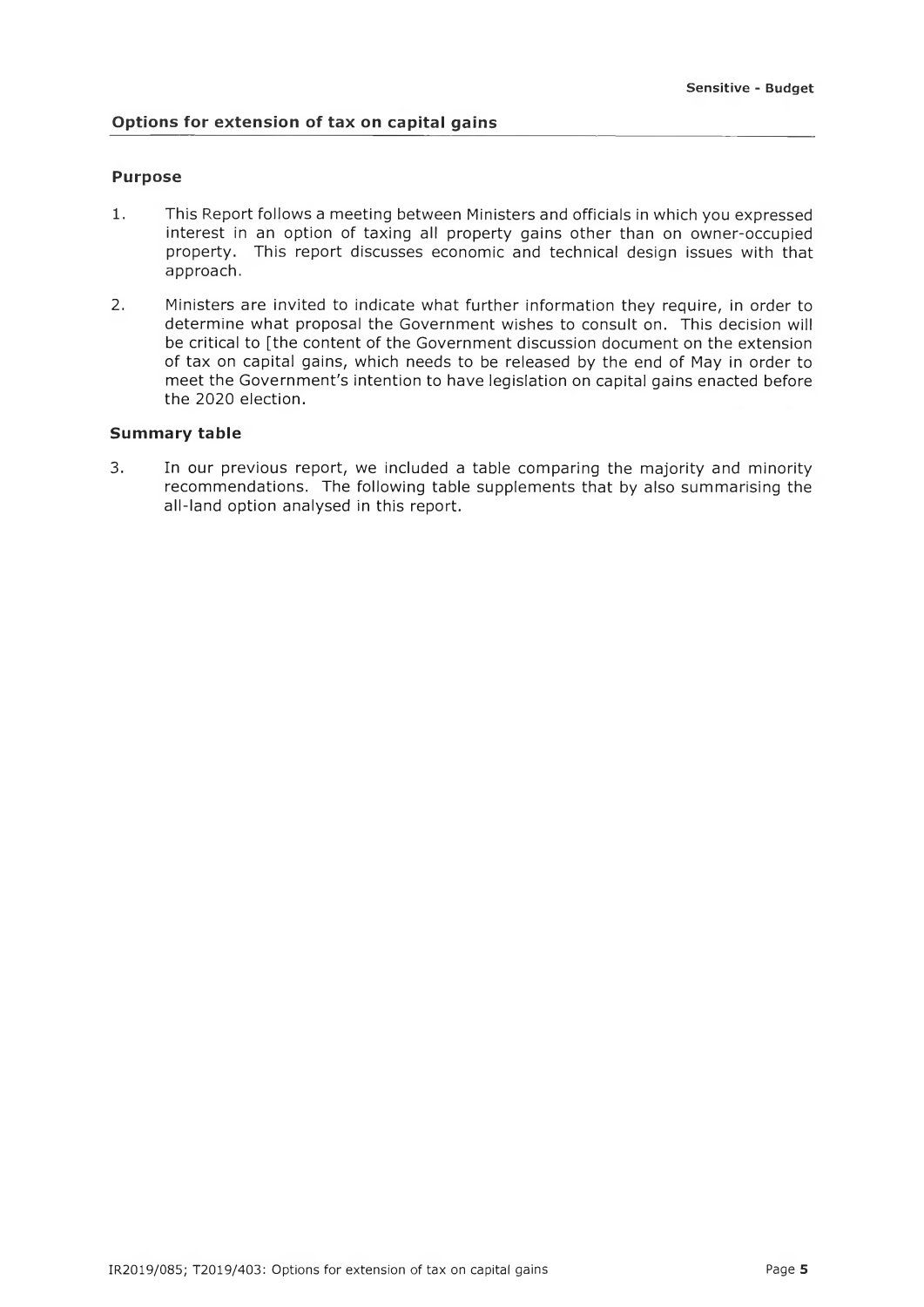## **Options for extension of tax on capital gains**

#### **Purpose**

- 1. This Report follows a meeting between Ministers and officials in which you expressed interest in an option of taxing all property gains other than on owner-occupied property. This report discusses economic and technical design issues with that approach.
- 2. Ministers are invited to indicate what further information they require, in order to determine what proposal the Government wishes to consult on. This decision will be critical to [the content of the Government discussion document on the extension of tax on capital gains, which needs to be released by the end of May in order to meet the Government's intention to have legislation on capital gains enacted before the 2020 election.

## **Summary table**

3. In our previous report, we included a table comparing the majority and minority recommendations. The following table supplements that by also summarising the all-land option analysed in this report.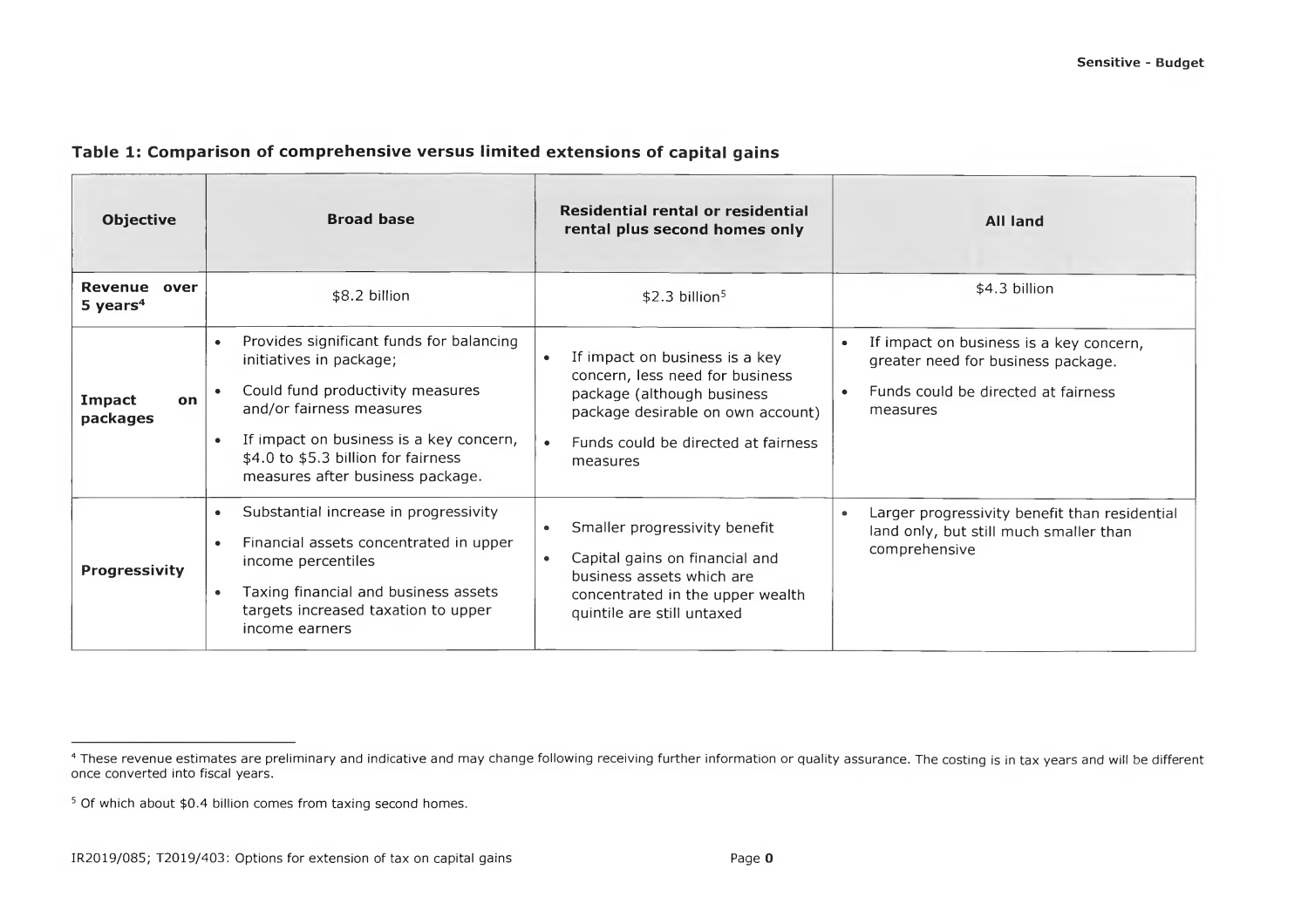## Table 1: Comparison of comprehensive versus limited extensions of capital gains

| <b>Objective</b>                | Residential rental or residential<br><b>Broad base</b><br>rental plus second homes only                                                                                                                                                                                |                                                                                                                                                                                         | <b>All land</b>                                                                                                                               |
|---------------------------------|------------------------------------------------------------------------------------------------------------------------------------------------------------------------------------------------------------------------------------------------------------------------|-----------------------------------------------------------------------------------------------------------------------------------------------------------------------------------------|-----------------------------------------------------------------------------------------------------------------------------------------------|
| Revenue over<br>5 years $4$     | \$8.2 billion                                                                                                                                                                                                                                                          | $$2.3$ billion <sup>5</sup>                                                                                                                                                             | \$4.3 billion                                                                                                                                 |
| Impact<br><b>on</b><br>packages | Provides significant funds for balancing<br>$\bullet$<br>initiatives in package;<br>Could fund productivity measures<br>and/or fairness measures<br>If impact on business is a key concern,<br>\$4.0 to \$5.3 billion for fairness<br>measures after business package. | If impact on business is a key<br>concern, less need for business<br>package (although business<br>package desirable on own account)<br>Funds could be directed at fairness<br>measures | If impact on business is a key concern,<br>$\bullet$<br>greater need for business package.<br>Funds could be directed at fairness<br>measures |
| <b>Progressivity</b>            | Substantial increase in progressivity<br>$\bullet$<br>Financial assets concentrated in upper<br>$\bullet$<br>income percentiles<br>Taxing financial and business assets<br>$\bullet$<br>targets increased taxation to upper<br>income earners                          | Smaller progressivity benefit<br>Capital gains on financial and<br>$\bullet$<br>business assets which are<br>concentrated in the upper wealth<br>quintile are still untaxed             | Larger progressivity benefit than residential<br>land only, but still much smaller than<br>comprehensive                                      |

<sup>&</sup>lt;sup>4</sup> These revenue estimates are preliminary and indicative and may change following receiving further information or quality assurance. The costing is in tax years and will be different once converted into fiscal years.

<sup>&</sup>lt;sup>5</sup> Of which about \$0.4 billion comes from taxing second homes.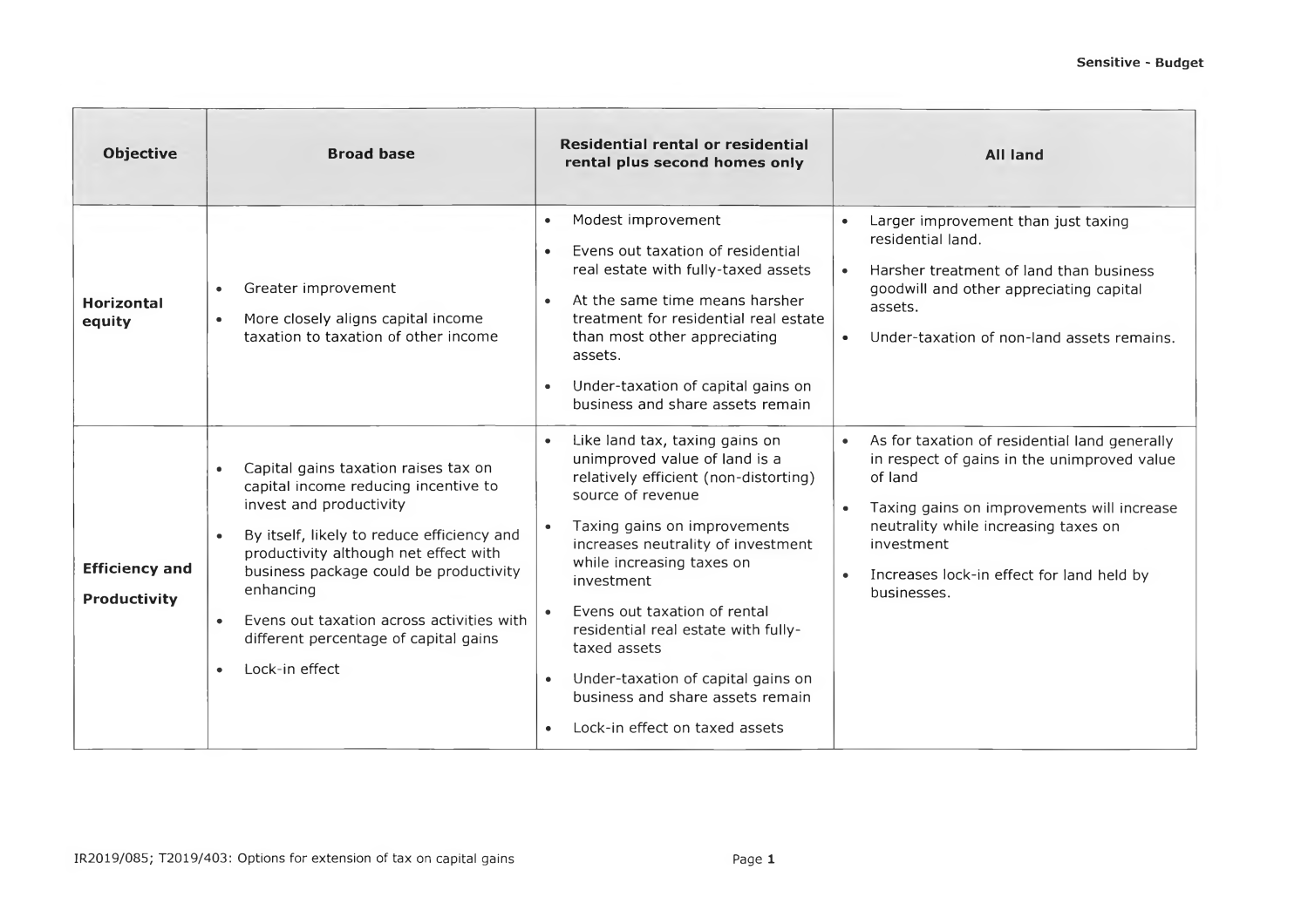| <b>Objective</b>                      | <b>Broad base</b>                                                                                                                                                                                                                                                                                                                                                          | Residential rental or residential<br>rental plus second homes only                                                                                                                                                                                                                                                                                                                                                                                                          | <b>All land</b>                                                                                                                                                                                                                                                                      |
|---------------------------------------|----------------------------------------------------------------------------------------------------------------------------------------------------------------------------------------------------------------------------------------------------------------------------------------------------------------------------------------------------------------------------|-----------------------------------------------------------------------------------------------------------------------------------------------------------------------------------------------------------------------------------------------------------------------------------------------------------------------------------------------------------------------------------------------------------------------------------------------------------------------------|--------------------------------------------------------------------------------------------------------------------------------------------------------------------------------------------------------------------------------------------------------------------------------------|
| <b>Horizontal</b><br>equity           | Greater improvement<br>$\bullet$<br>More closely aligns capital income<br>$\bullet$<br>taxation to taxation of other income                                                                                                                                                                                                                                                | Modest improvement<br>$\bullet$<br>Evens out taxation of residential<br>$\bullet$<br>real estate with fully-taxed assets<br>At the same time means harsher<br>$\bullet$<br>treatment for residential real estate<br>than most other appreciating<br>assets.<br>Under-taxation of capital gains on<br>$\bullet$<br>business and share assets remain                                                                                                                          | Larger improvement than just taxing<br>residential land.<br>Harsher treatment of land than business<br>$\bullet$<br>goodwill and other appreciating capital<br>assets.<br>Under-taxation of non-land assets remains.<br>$\bullet$                                                    |
| <b>Efficiency and</b><br>Productivity | Capital gains taxation raises tax on<br>capital income reducing incentive to<br>invest and productivity<br>By itself, likely to reduce efficiency and<br>productivity although net effect with<br>business package could be productivity<br>enhancing<br>Evens out taxation across activities with<br>$\bullet$<br>different percentage of capital gains<br>Lock-in effect | Like land tax, taxing gains on<br>$\bullet$<br>unimproved value of land is a<br>relatively efficient (non-distorting)<br>source of revenue<br>Taxing gains on improvements<br>increases neutrality of investment<br>while increasing taxes on<br>investment<br>Evens out taxation of rental<br>residential real estate with fully-<br>taxed assets<br>Under-taxation of capital gains on<br>$\bullet$<br>business and share assets remain<br>Lock-in effect on taxed assets | As for taxation of residential land generally<br>in respect of gains in the unimproved value<br>of land<br>Taxing gains on improvements will increase<br>$\bullet$<br>neutrality while increasing taxes on<br>investment<br>Increases lock-in effect for land held by<br>businesses. |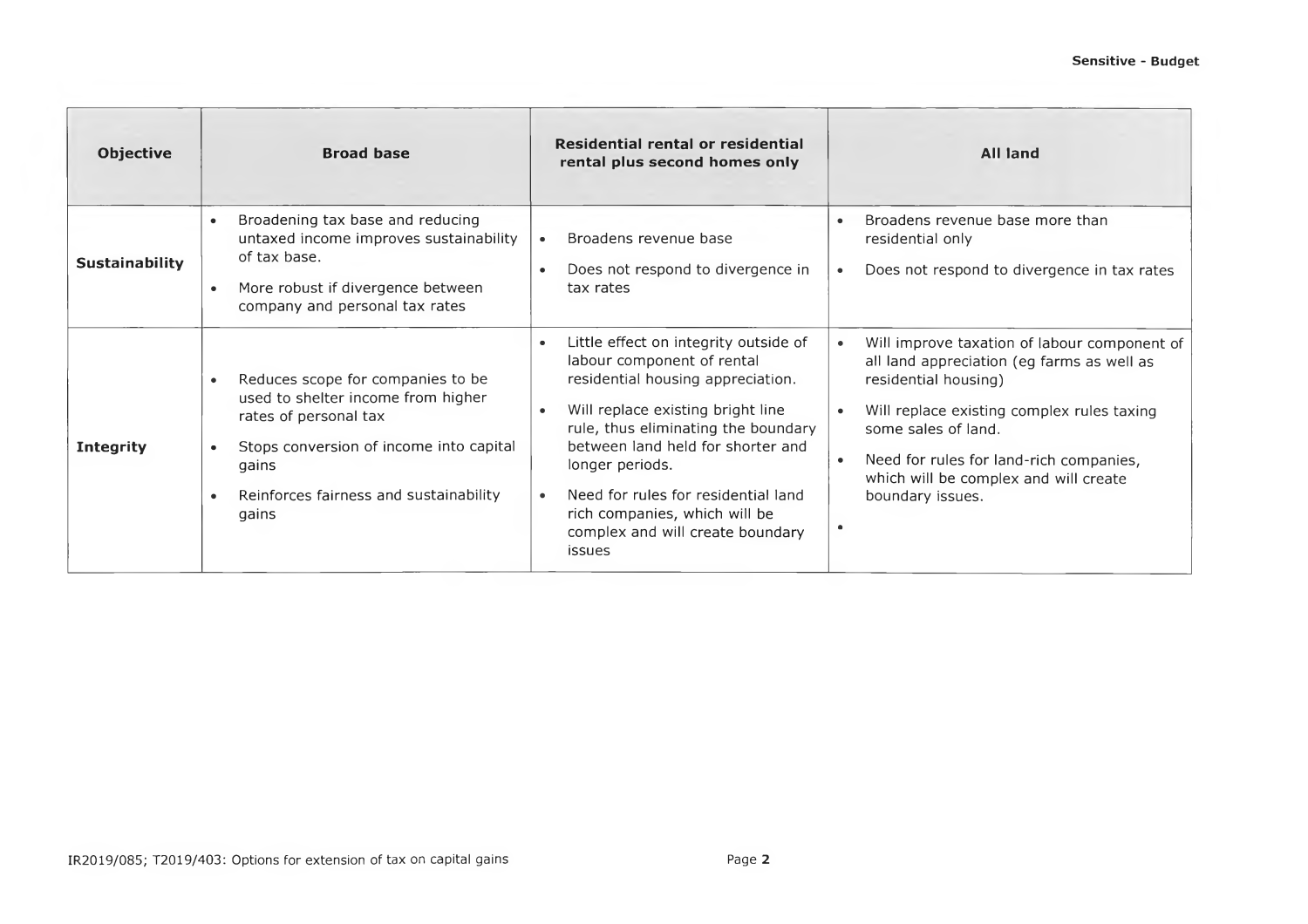| <b>Objective</b> | <b>Broad base</b>                                                                                                                                                                                                                 | Residential rental or residential<br>rental plus second homes only                                                                                                                                                                                                                                                                                                              | <b>All land</b>                                                                                                                                                                                                                                                                                                           |
|------------------|-----------------------------------------------------------------------------------------------------------------------------------------------------------------------------------------------------------------------------------|---------------------------------------------------------------------------------------------------------------------------------------------------------------------------------------------------------------------------------------------------------------------------------------------------------------------------------------------------------------------------------|---------------------------------------------------------------------------------------------------------------------------------------------------------------------------------------------------------------------------------------------------------------------------------------------------------------------------|
| Sustainability   | Broadening tax base and reducing<br>untaxed income improves sustainability<br>of tax base.<br>More robust if divergence between<br>$\bullet$<br>company and personal tax rates                                                    | Broadens revenue base<br>Does not respond to divergence in<br>$\bullet$<br>tax rates                                                                                                                                                                                                                                                                                            | Broadens revenue base more than<br>residential only<br>Does not respond to divergence in tax rates                                                                                                                                                                                                                        |
| <b>Integrity</b> | Reduces scope for companies to be<br>used to shelter income from higher<br>rates of personal tax<br>Stops conversion of income into capital<br>$\bullet$<br>gains<br>Reinforces fairness and sustainability<br>$\bullet$<br>gains | Little effect on integrity outside of<br>labour component of rental<br>residential housing appreciation.<br>Will replace existing bright line<br>rule, thus eliminating the boundary<br>between land held for shorter and<br>longer periods.<br>Need for rules for residential land<br>$\bullet$<br>rich companies, which will be<br>complex and will create boundary<br>issues | Will improve taxation of labour component of<br>$\bullet$<br>all land appreciation (eg farms as well as<br>residential housing)<br>Will replace existing complex rules taxing<br>some sales of land.<br>Need for rules for land-rich companies,<br>which will be complex and will create<br>boundary issues.<br>$\bullet$ |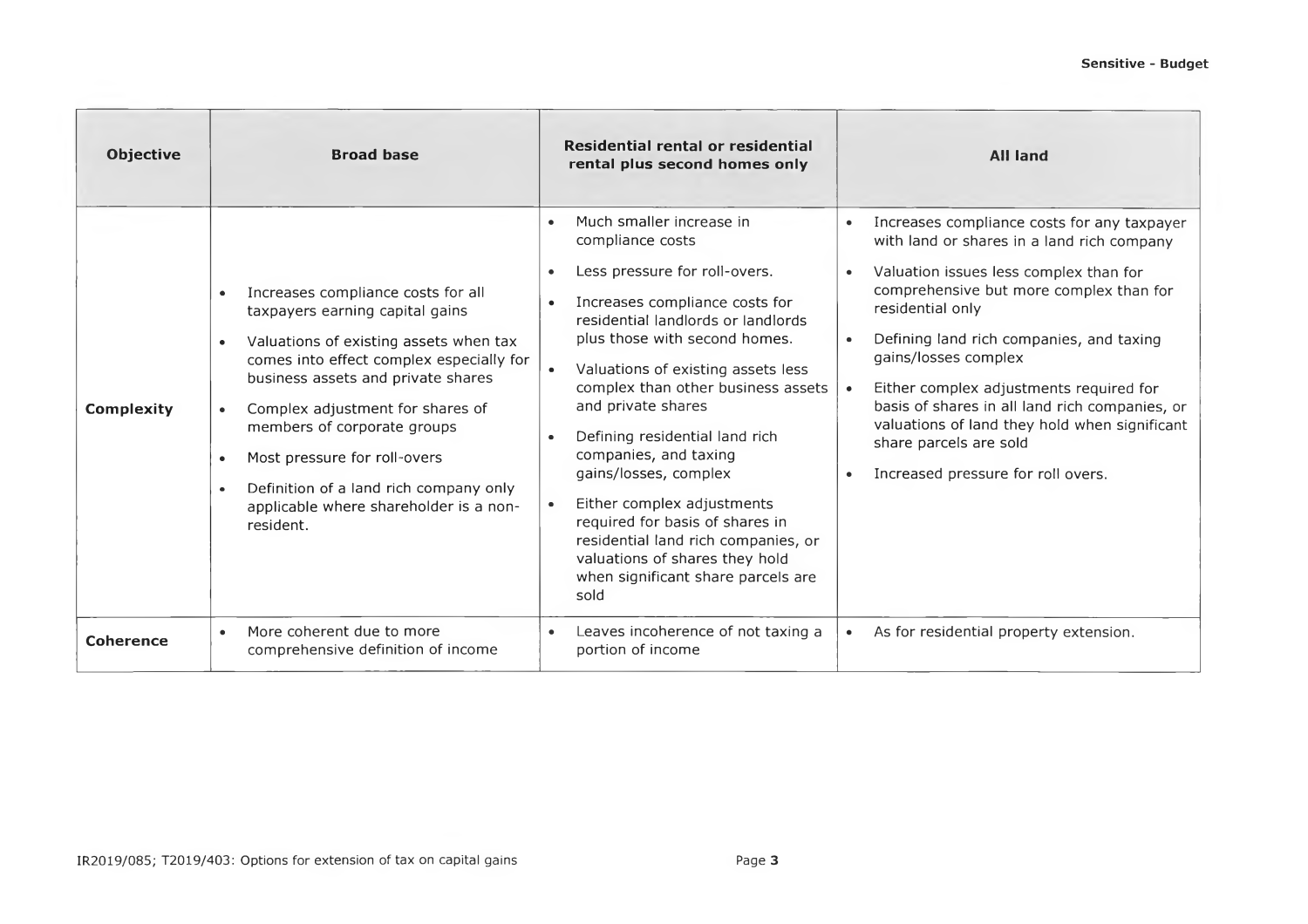| <b>Objective</b>  | <b>Broad base</b>                                                                                                                                                                                                                                                                                                                                                                                                               | Residential rental or residential<br>rental plus second homes only                                                                                                                                                                                                                                                                                                                                                                                                                                                                                                                                          | <b>All land</b>                                                                                                                                                                                                                                                                                                                                                                                                                                                                                                |
|-------------------|---------------------------------------------------------------------------------------------------------------------------------------------------------------------------------------------------------------------------------------------------------------------------------------------------------------------------------------------------------------------------------------------------------------------------------|-------------------------------------------------------------------------------------------------------------------------------------------------------------------------------------------------------------------------------------------------------------------------------------------------------------------------------------------------------------------------------------------------------------------------------------------------------------------------------------------------------------------------------------------------------------------------------------------------------------|----------------------------------------------------------------------------------------------------------------------------------------------------------------------------------------------------------------------------------------------------------------------------------------------------------------------------------------------------------------------------------------------------------------------------------------------------------------------------------------------------------------|
| <b>Complexity</b> | Increases compliance costs for all<br>$\bullet$<br>taxpayers earning capital gains<br>Valuations of existing assets when tax<br>comes into effect complex especially for<br>business assets and private shares<br>Complex adjustment for shares of<br>members of corporate groups<br>Most pressure for roll-overs<br>Definition of a land rich company only<br>$\bullet$<br>applicable where shareholder is a non-<br>resident. | Much smaller increase in<br>compliance costs<br>Less pressure for roll-overs.<br>$\bullet$<br>Increases compliance costs for<br>$\bullet$<br>residential landlords or landlords<br>plus those with second homes.<br>Valuations of existing assets less<br>complex than other business assets<br>and private shares<br>Defining residential land rich<br>$\bullet$<br>companies, and taxing<br>gains/losses, complex<br>Either complex adjustments<br>required for basis of shares in<br>residential land rich companies, or<br>valuations of shares they hold<br>when significant share parcels are<br>sold | Increases compliance costs for any taxpayer<br>with land or shares in a land rich company<br>Valuation issues less complex than for<br>comprehensive but more complex than for<br>residential only<br>Defining land rich companies, and taxing<br>gains/losses complex<br>Either complex adjustments required for<br>$\bullet$<br>basis of shares in all land rich companies, or<br>valuations of land they hold when significant<br>share parcels are sold<br>Increased pressure for roll overs.<br>$\bullet$ |
| <b>Coherence</b>  | More coherent due to more<br>$\bullet$<br>comprehensive definition of income                                                                                                                                                                                                                                                                                                                                                    | Leaves incoherence of not taxing a<br>portion of income                                                                                                                                                                                                                                                                                                                                                                                                                                                                                                                                                     | As for residential property extension.<br>$\bullet$                                                                                                                                                                                                                                                                                                                                                                                                                                                            |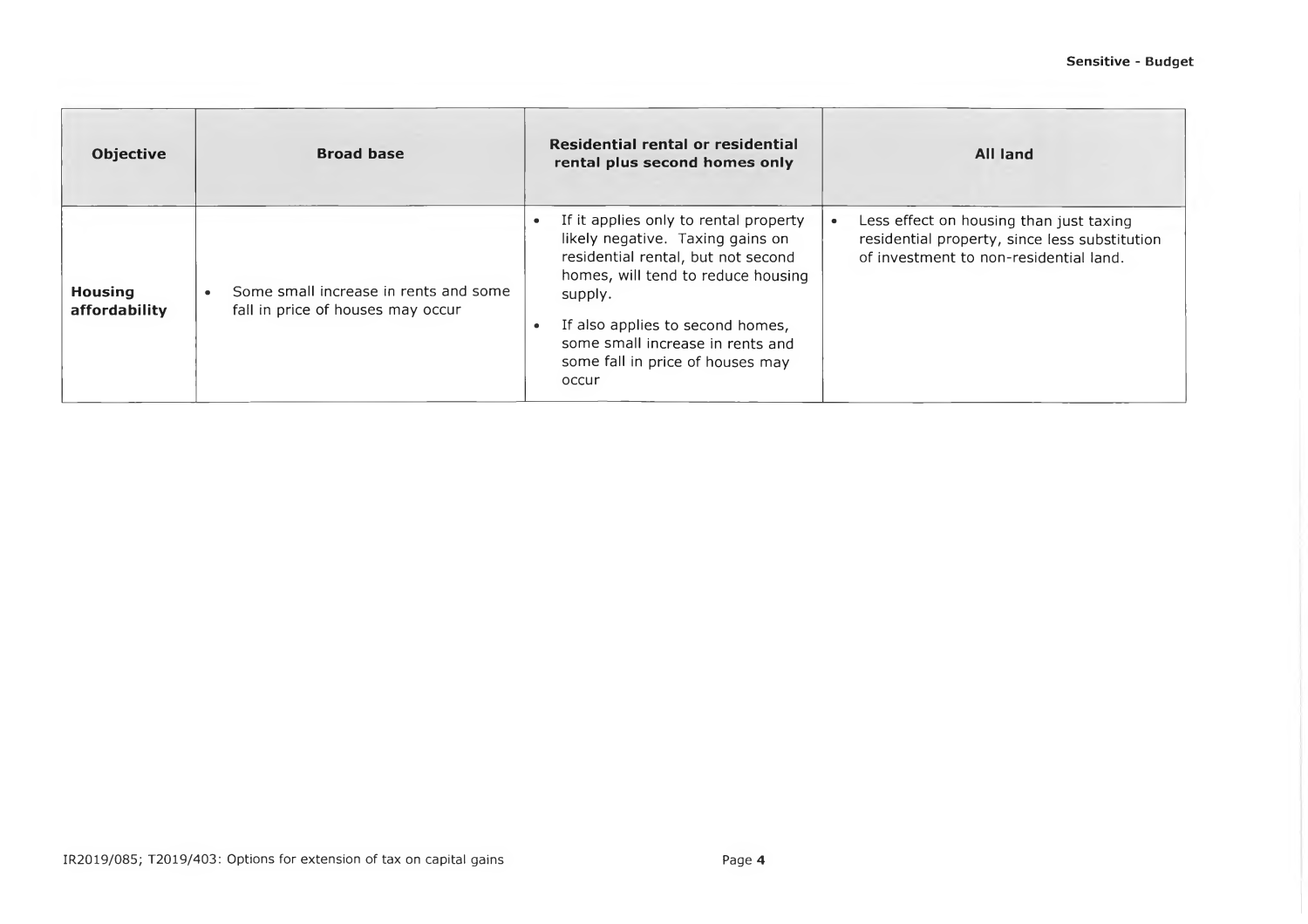| <b>Objective</b>                | <b>Broad base</b>                                                          | Residential rental or residential<br>rental plus second homes only                                                                                                                                                                                                                    | All land                                                                                                                           |
|---------------------------------|----------------------------------------------------------------------------|---------------------------------------------------------------------------------------------------------------------------------------------------------------------------------------------------------------------------------------------------------------------------------------|------------------------------------------------------------------------------------------------------------------------------------|
| <b>Housing</b><br>affordability | Some small increase in rents and some<br>fall in price of houses may occur | If it applies only to rental property<br>likely negative. Taxing gains on<br>residential rental, but not second<br>homes, will tend to reduce housing<br>supply.<br>If also applies to second homes,<br>some small increase in rents and<br>some fall in price of houses may<br>occur | Less effect on housing than just taxing<br>residential property, since less substitution<br>of investment to non-residential land. |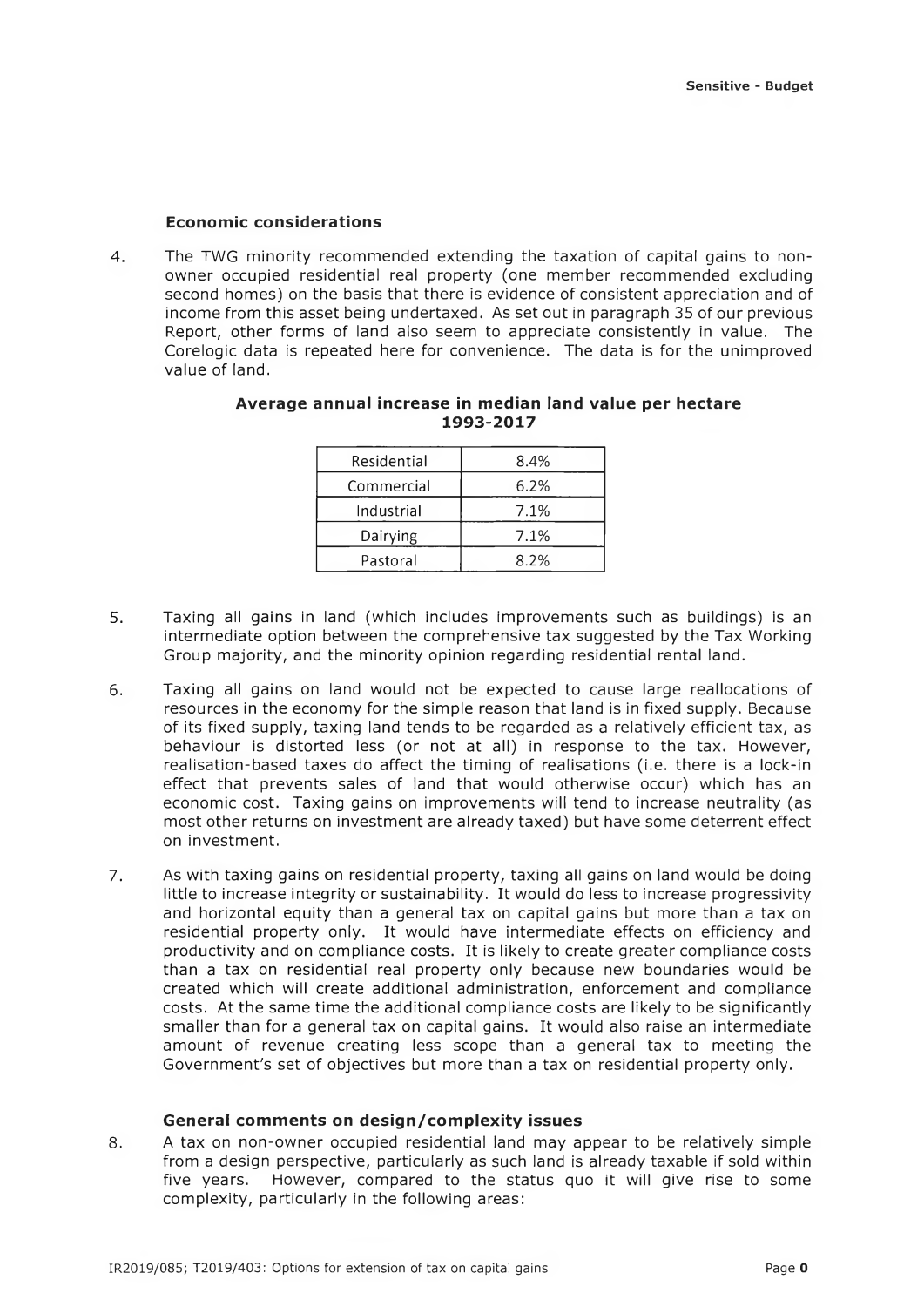#### **Economic considerations**

4. The TWG minority recommended extending the taxation of capital gains to nonowner occupied residential real property (one member recommended excluding second homes) on the basis that there is evidence of consistent appreciation and of income from this asset being undertaxed. As set out in paragraph 35 of our previous Report, other forms of land also seem to appreciate consistently in value. The Corelogic data is repeated here for convenience. The data is for the unimproved value of land.

| Average annual increase in median land value per hectare |  |           |  |  |
|----------------------------------------------------------|--|-----------|--|--|
|                                                          |  | 1993-2017 |  |  |

| Residential | 8.4%    |
|-------------|---------|
| Commercial  | $6.2\%$ |
| Industrial  | 7.1%    |
| Dairying    | 7.1%    |
| Pastoral    | 8.2%    |

- 5. Taxing all gains in land (which includes improvements such as buildings) is an intermediate option between the comprehensive tax suggested by the Tax Working Group majority, and the minority opinion regarding residential rental land.
- 6. Taxing all gains on land would not be expected to cause large reallocations of resources in the economy for the simple reason that land is in fixed supply. Because of its fixed supply, taxing land tends to be regarded as a relatively efficient tax, as behaviour is distorted less (or not at all) in response to the tax. However, realisation-based taxes do affect the timing of realisations (i.e. there is a lock-in effect that prevents sales of land that would otherwise occur) which has an economic cost. Taxing gains on improvements will tend to increase neutrality (as most other returns on investment are already taxed) but have some deterrent effect on investment.
- 7. As with taxing gains on residential property, taxing all gains on land would be doing little to increase integrity or sustainability. It would do less to increase progressivity and horizontal equity than a general tax on capital gains but more than a tax on residential property only. It would have intermediate effects on efficiency and productivity and on compliance costs. It is likely to create greater compliance costs than a tax on residential real property only because new boundaries would be created which will create additional administration, enforcement and compliance costs. At the same time the additional compliance costs are likely to be significantly smaller than for a general tax on capital gains. It would also raise an intermediate amount of revenue creating less scope than a general tax to meeting the Government's set of objectives but more than a tax on residential property only.

#### **General comments on design/complexity issues**

8. A tax on non-owner occupied residential land may appear to be relatively simple from a design perspective, particularly as such land is already taxable if sold within five years. However, compared to the status quo it will give rise to some complexity, particularly in the following areas: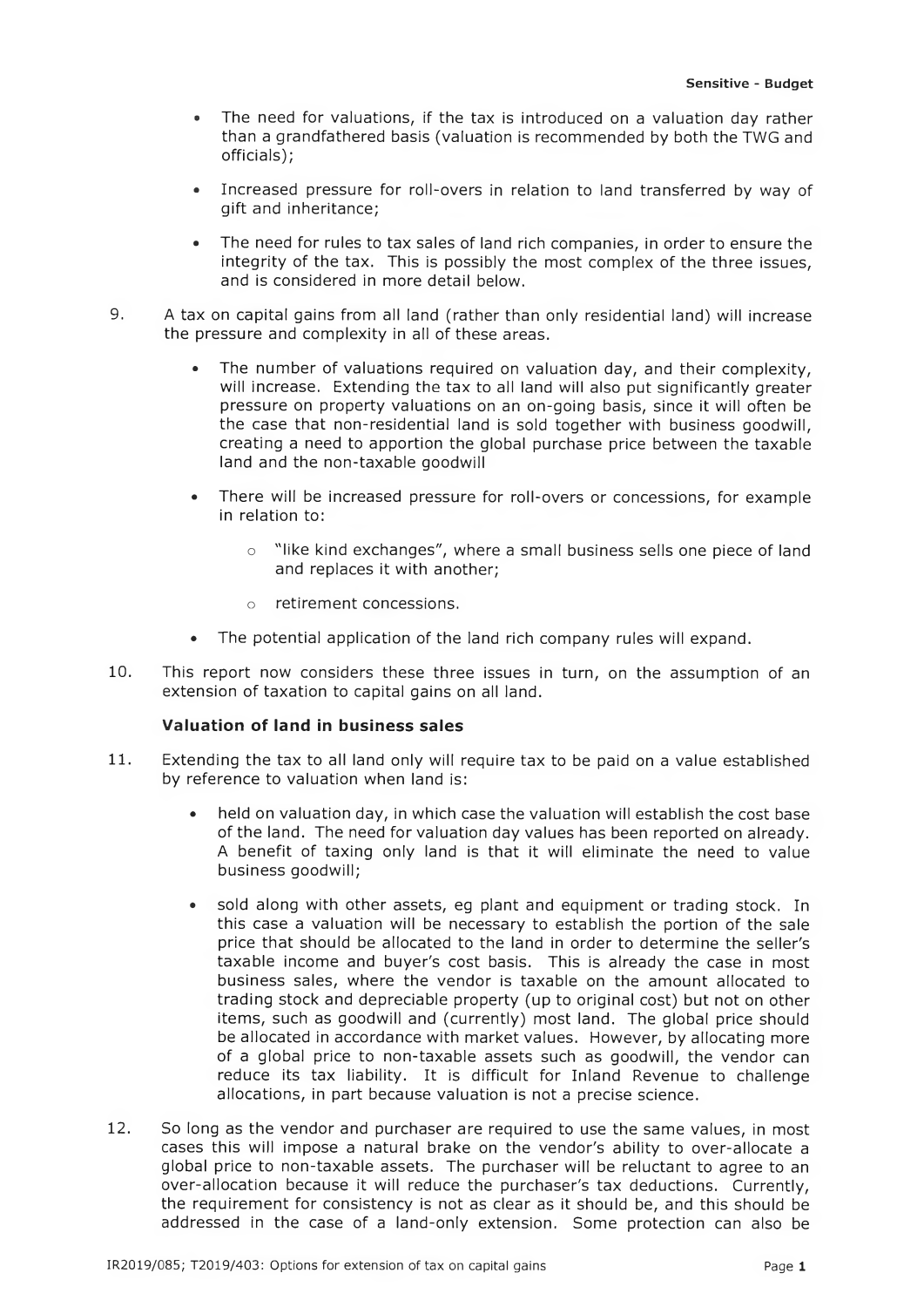- The need for valuations, if the tax is introduced on a valuation day rather than a grandfathered basis (valuation is recommended by both the TWG and officials);
- Increased pressure for roll-overs in relation to land transferred by way of gift and inheritance;
- The need for rules to tax sales of land rich companies, in order to ensure the integrity of the tax. This is possibly the most complex of the three issues, and is considered in more detail below.
- 9. A tax on capital gains from all land (rather than only residential land) will increase the pressure and complexity in all of these areas.
	- The number of valuations required on valuation day, and their complexity, will increase. Extending the tax to all land will also put significantly greater pressure on property valuations on an on-going basis, since it will often be the case that non-residential land is sold together with business goodwill, creating a need to apportion the global purchase price between the taxable land and the non-taxable goodwill
	- There will be increased pressure for roll-overs or concessions, for example in relation to:
		- o "like kind exchanges", where a small business sells one piece of land and replaces it with another;
		- o retirement concessions.
	- The potential application of the land rich company rules will expand.
- 10. This report now considers these three issues in turn, on the assumption of an extension of taxation to capital gains on all land.

## **Valuation of land in business sales**

- 11. Extending the tax to all land only will require tax to be paid on a value established by reference to valuation when land is:
	- held on valuation day, in which case the valuation will establish the cost base of the land. The need for valuation day values has been reported on already. A benefit of taxing only land is that it will eliminate the need to value business goodwill;
	- sold along with other assets, eg plant and equipment or trading stock. In this case a valuation will be necessary to establish the portion of the sale price that should be allocated to the land in order to determine the seller's taxable income and buyer's cost basis. This is already the case in most business sales, where the vendor is taxable on the amount allocated to trading stock and depreciable property (up to original cost) but not on other items, such as goodwill and (currently) most land. The global price should be allocated in accordance with market values. However, by allocating more of a global price to non-taxable assets such as goodwill, the vendor can reduce its tax liability. It is difficult for Inland Revenue to challenge allocations, in part because valuation is not a precise science.
- 12. So long as the vendor and purchaser are required to use the same values, in most cases this will impose a natural brake on the vendor's ability to over-allocate a global price to non-taxable assets. The purchaser will be reluctant to agree to an over-allocation because it will reduce the purchaser's tax deductions. Currently, the requirement for consistency is not as clear as it should be, and this should be addressed in the case of a land-only extension. Some protection can also be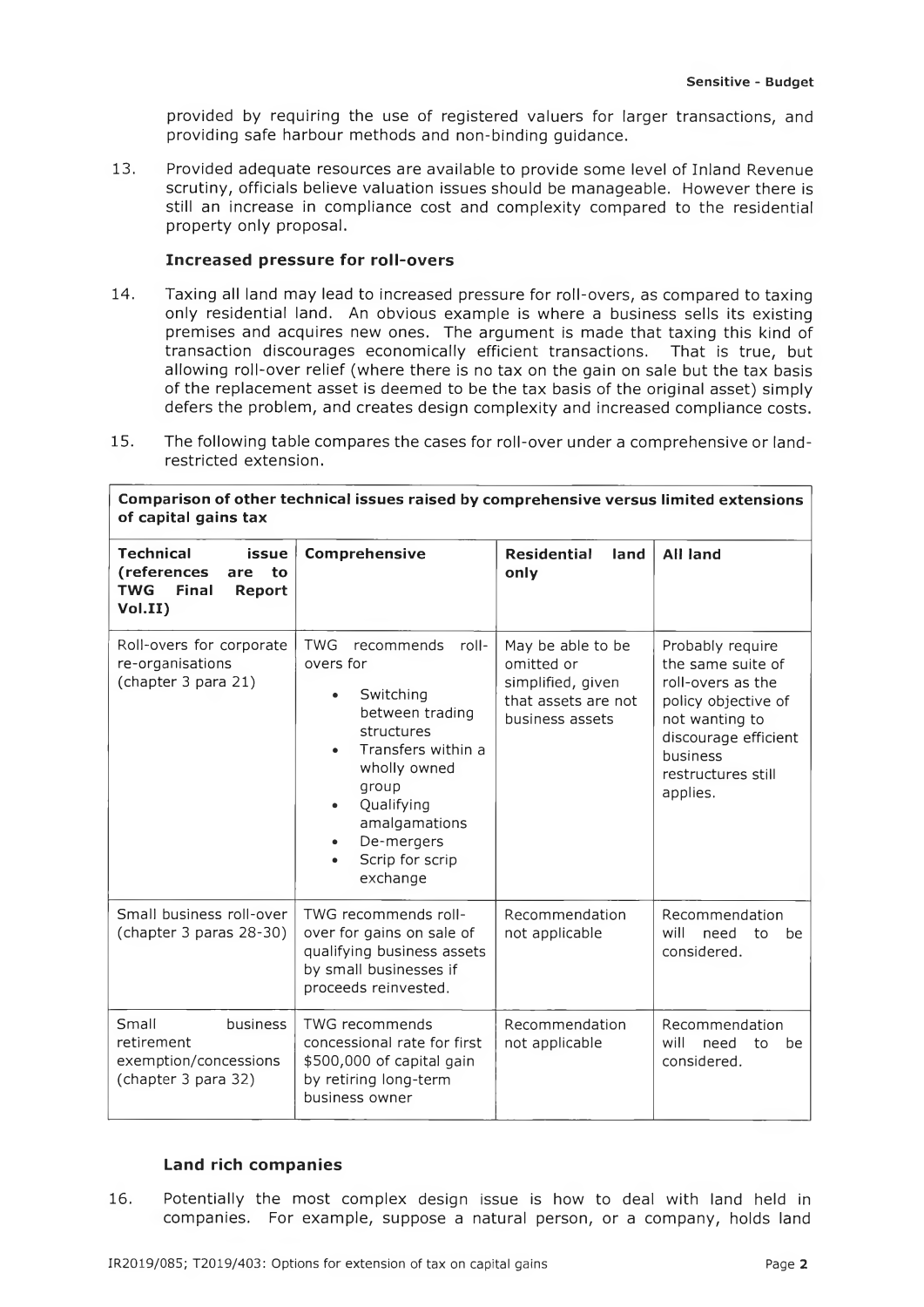provided by requiring the use of registered valuers for larger transactions, and providing safe harbour methods and non-binding guidance.

13. Provided adequate resources are available to provide some level of Inland Revenue scrutiny, officials believe valuation issues should be manageable. However there is still an increase in compliance cost and complexity compared to the residential property only proposal.

## **Increased pressure for roll-overs**

- 14. Taxing all land may lead to increased pressure for roll-overs, as compared to taxing only residential land. An obvious example is where a business sells its existing premises and acquires new ones. The argument is made that taxing this kind of transaction discourages economically efficient transactions. That is true, but allowing roll-over relief (where there is no tax on the gain on sale but the tax basis of the replacement asset is deemed to be the tax basis of the original asset) simply defers the problem, and creates design complexity and increased compliance costs.
- 15. The following table compares the cases for roll-over under a comprehensive or landrestricted extension.

| Comparison of other technical issues raised by comprehensive versus limited extensions<br>of capital gains tax                                                                                                                                                                                                           |                                                                                                                                   |                                                                                                                                                                                                                                                                             |                                                           |  |  |  |
|--------------------------------------------------------------------------------------------------------------------------------------------------------------------------------------------------------------------------------------------------------------------------------------------------------------------------|-----------------------------------------------------------------------------------------------------------------------------------|-----------------------------------------------------------------------------------------------------------------------------------------------------------------------------------------------------------------------------------------------------------------------------|-----------------------------------------------------------|--|--|--|
| <b>Technical</b><br>issue<br>(references<br>to<br>are<br><b>TWG</b><br><b>Final</b><br><b>Report</b><br>Vol.II)                                                                                                                                                                                                          | Comprehensive                                                                                                                     | <b>Residential</b><br>land<br>only                                                                                                                                                                                                                                          | <b>All land</b>                                           |  |  |  |
| <b>TWG</b><br>Roll-overs for corporate<br>recommends<br>roll-<br>re-organisations<br>overs for<br>(chapter 3 para 21)<br>Switching<br>$\bullet$<br>between trading<br>structures<br>Transfers within a<br>wholly owned<br>group<br>Qualifying<br>$\bullet$<br>amalgamations<br>De-mergers<br>Scrip for scrip<br>exchange |                                                                                                                                   | May be able to be<br>Probably require<br>the same suite of<br>omitted or<br>simplified, given<br>roll-overs as the<br>that assets are not<br>policy objective of<br>business assets<br>not wanting to<br>discourage efficient<br>business<br>restructures still<br>applies. |                                                           |  |  |  |
| Small business roll-over<br>(chapter 3 paras 28-30)                                                                                                                                                                                                                                                                      | TWG recommends roll-<br>over for gains on sale of<br>qualifying business assets<br>by small businesses if<br>proceeds reinvested. |                                                                                                                                                                                                                                                                             | Recommendation<br>will<br>need<br>to<br>be<br>considered. |  |  |  |
| Small<br>business<br>retirement<br>exemption/concessions<br>(chapter 3 para 32)                                                                                                                                                                                                                                          | <b>TWG recommends</b><br>concessional rate for first<br>\$500,000 of capital gain<br>by retiring long-term<br>business owner      | Recommendation<br>not applicable                                                                                                                                                                                                                                            | Recommendation<br>will<br>need<br>to<br>be<br>considered. |  |  |  |

## **Land rich com panies**

16. Potentially the most complex design issue is how to deal with land held in companies. For example, suppose a natural person, or a company, holds land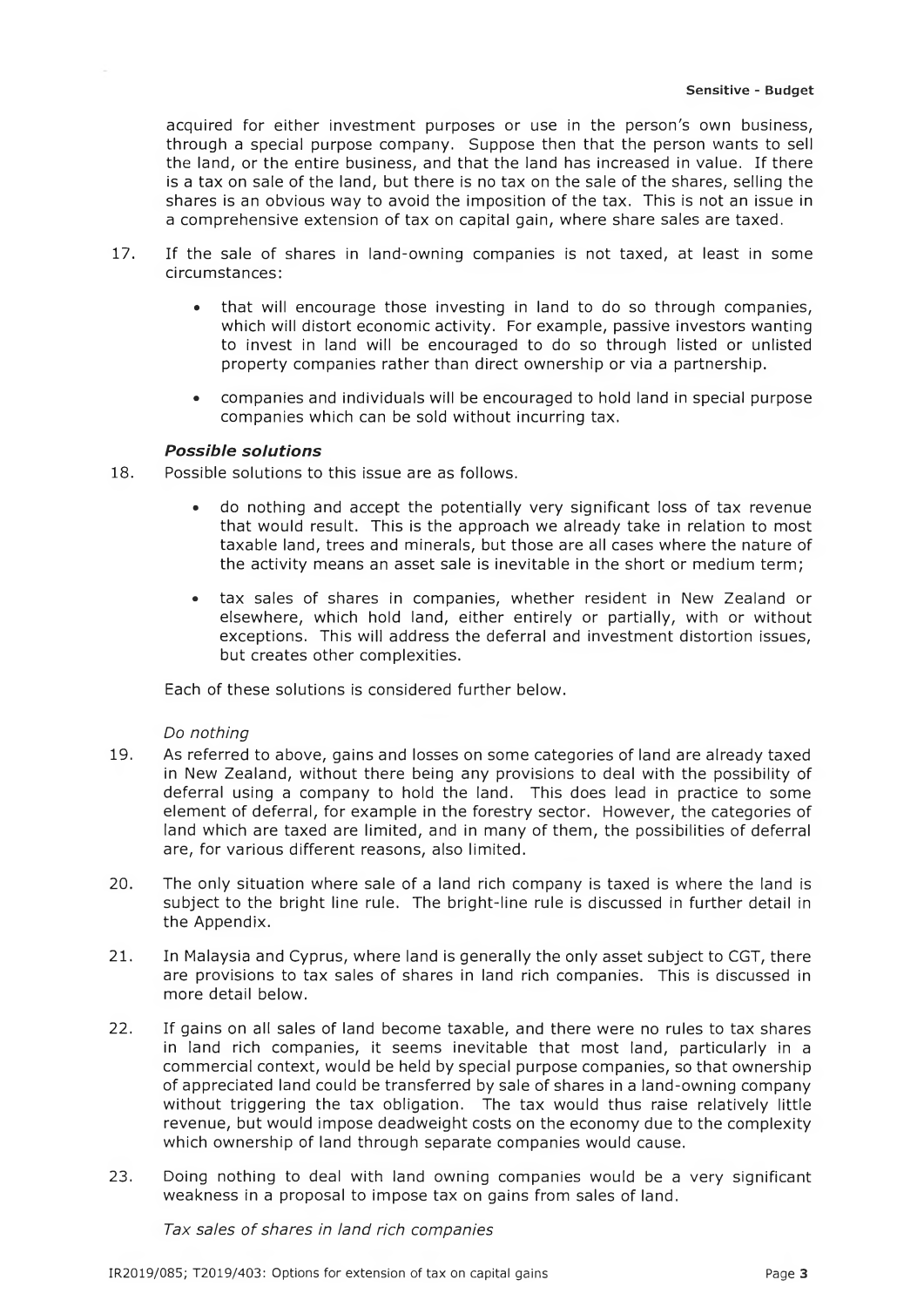acquired for either investment purposes or use in the person's own business, through a special purpose company. Suppose then that the person wants to sell the land, or the entire business, and that the land has increased in value. If there is a tax on sale of the land, but there is no tax on the sale of the shares, selling the shares is an obvious way to avoid the imposition of the tax. This is not an issue in a comprehensive extension of tax on capital gain, where share sales are taxed.

- 17. If the sale of shares in land-owning companies is not taxed, at least in some circumstances:
	- that will encourage those investing in land to do so through companies, which will distort economic activity. For example, passive investors wanting to invest in land will be encouraged to do so through listed or unlisted property companies rather than direct ownership or via a partnership,
	- companies and individuals will be encouraged to hold land in special purpose companies which can be sold without incurring tax.

## **Possible solutions**

18. Possible solutions to this issue are as follows.

- do nothing and accept the potentially very significant loss of tax revenue that would result. This is the approach we already take in relation to most taxable land, trees and minerals, but those are all cases where the nature of the activity means an asset sale is inevitable in the short or medium term;
- tax sales of shares in companies, whether resident in New Zealand or elsewhere, which hold land, either entirely or partially, with or without exceptions. This will address the deferral and investment distortion issues, but creates other complexities.

Each of these solutions is considered further below.

#### *Do nothing*

- 19. As referred to above, gains and losses on some categories of land are already taxed in New Zealand, without there being any provisions to deal with the possibility of deferral using a company to hold the land. This does lead in practice to some element of deferral, for example in the forestry sector. However, the categories of land which are taxed are limited, and in many of them, the possibilities of deferral are, for various different reasons, also limited.
- 20. The only situation where sale of a land rich company is taxed is where the land is subject to the bright line rule. The bright-line rule is discussed in further detail in the Appendix.
- 21. In Malaysia and Cyprus, where land is generally the only asset subject to CGT, there are provisions to tax sales of shares in land rich companies. This is discussed in more detail below.
- 22. If gains on all sales of land become taxable, and there were no rules to tax shares in land rich companies, it seems inevitable that most land, particularly in a commercial context, would be held by special purpose companies, so that ownership of appreciated land could be transferred by sale of shares in a land-owning company without triggering the tax obligation. The tax would thus raise relatively little revenue, but would impose deadweight costs on the economy due to the complexity which ownership of land through separate companies would cause.
- 23. Doing nothing to deal with land owning companies would be a very significant weakness in a proposal to impose tax on gains from sales of land.

Tax sales of shares in land rich companies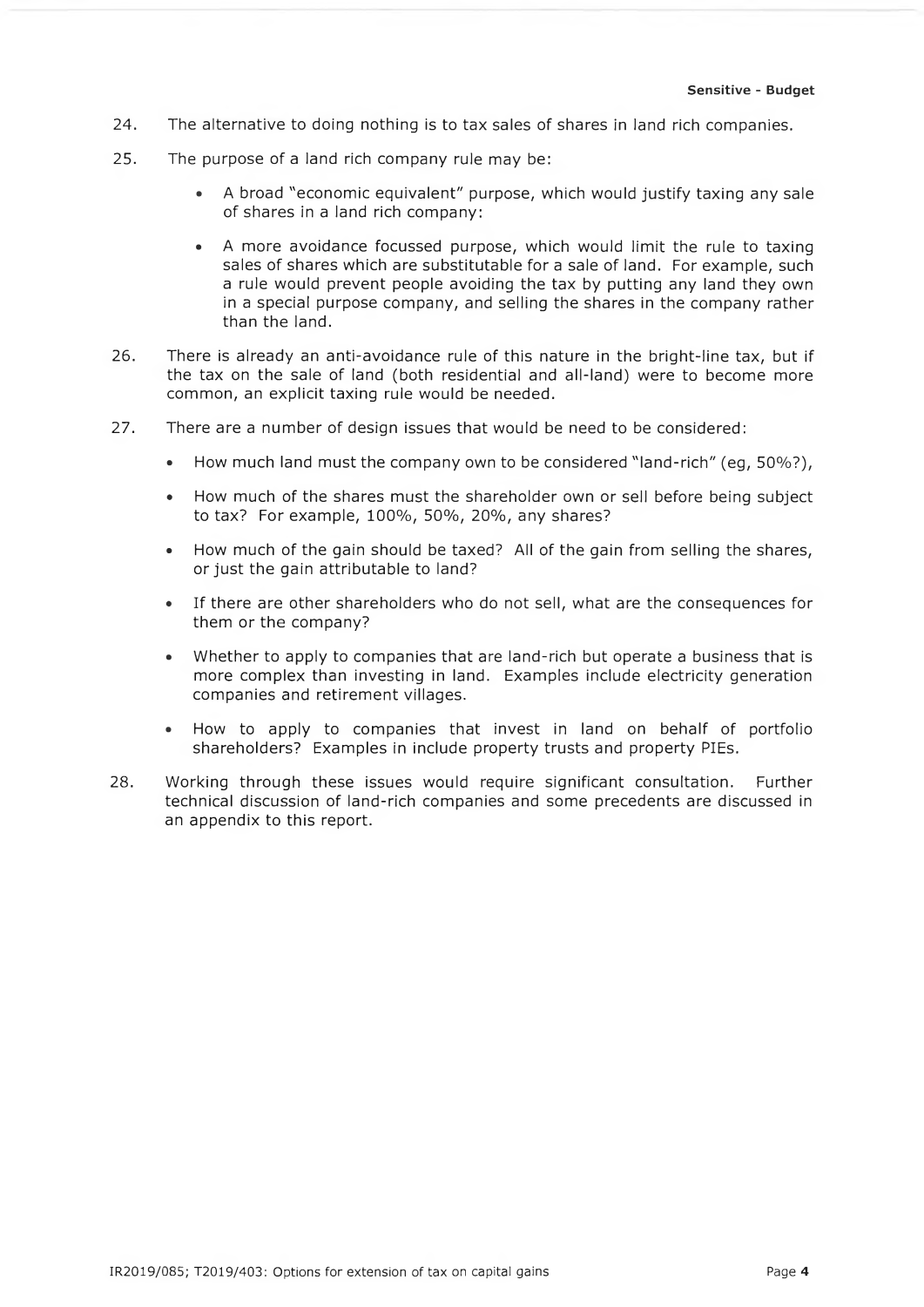- 24. The alternative to doing nothing is to tax sales of shares in land rich companies.
- 25. The purpose of a land rich company rule may be:
	- A broad "economic equivalent" purpose, which would justify taxing any sale of shares in a land rich company:
	- A more avoidance focussed purpose, which would limit the rule to taxing sales of shares which are substitutable for a sale of land. For example, such a rule would prevent people avoiding the tax by putting any land they own in a special purpose company, and selling the shares in the company rather than the land.
- 26. There is already an anti-avoidance rule of this nature in the bright-line tax, but if the tax on the sale of land (both residential and all-land) were to become more common, an explicit taxing rule would be needed.
- 27. There are a number of design issues that would be need to be considered:
	- How much land must the company own to be considered "land-rich" (eg, 50%?),
	- How much of the shares must the shareholder own or sell before being subject to tax? For example, 100%, 50%, 20%, any shares?
	- How much of the gain should be taxed? All of the gain from selling the shares, or just the gain attributable to land?
	- If there are other shareholders who do not sell, what are the consequences for them or the company?
	- Whether to apply to companies that are land-rich but operate a business that is more complex than investing in land. Examples include electricity generation companies and retirement villages.
	- How to apply to companies that invest in land on behalf of portfolio shareholders? Examples in include property trusts and property PIEs.
- 28. Working through these issues would require significant consultation. Further technical discussion of land-rich companies and some precedents are discussed in an appendix to this report.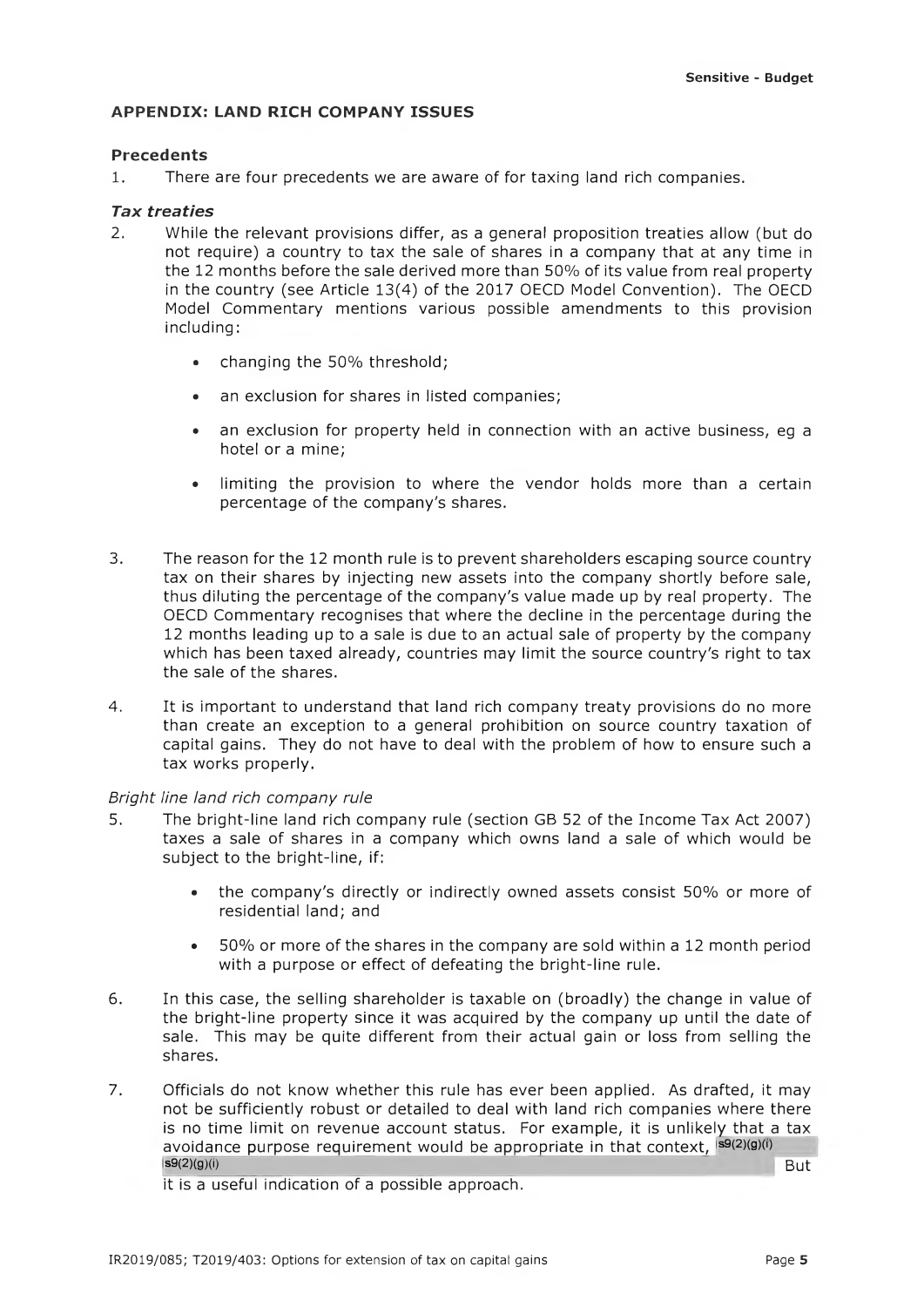## **APPENDIX: LAND RICH COMPANY ISSUES**

### **Precedents**

1. There are four precedents we are aware of for taxing land rich companies.

## *Tax trea ties*

- 2. While the relevant provisions differ, as a general proposition treaties allow (but do not require) a country to tax the sale of shares in a company that at any time in the 12 months before the sale derived more than 50% of its value from real property in the country (see Article 13(4) of the 2017 OECD Model Convention). The OECD Model Commentary mentions various possible amendments to this provision including:
	- changing the 50% threshold;
	- an exclusion for shares in listed companies;
	- an exclusion for property held in connection with an active business, eg a hotel or a mine;
	- limiting the provision to where the vendor holds more than a certain percentage of the company's shares.
- 3. The reason for the 12 month rule is to prevent shareholders escaping source country tax on their shares by injecting new assets into the company shortly before sale, thus diluting the percentage of the company's value made up by real property. The OECD Commentary recognises that where the decline in the percentage during the 12 months leading up to a sale is due to an actual sale of property by the company which has been taxed already, countries may limit the source country's right to tax the sale of the shares.
- 4. It is important to understand that land rich company treaty provisions do no more than create an exception to a general prohibition on source country taxation of capital gains. They do not have to deal with the problem of how to ensure such a tax works properly.

## *Bright line land rich company rule*

- 5. The bright-line land rich company rule (section GB 52 of the Income Tax Act 2007) taxes a sale of shares in a company which owns land a sale of which would be subject to the bright-line, if:
	- the company's directly or indirectly owned assets consist 50% or more of residential land; and
	- 50% or more of the shares in the company are sold within a 12 month period with a purpose or effect of defeating the bright-line rule.
- 6. In this case, the selling shareholder is taxable on (broadly) the change in value of the bright-line property since it was acquired by the company up until the date of sale. This may be quite different from their actual gain or loss from selling the shares.
- 7. Officials do not know whether this rule has ever been applied. As drafted, it may not be sufficiently robust or detailed to deal with land rich companies where there is no time limit on revenue account status. For example, it is unlikely that a tax avoidance purpose requirement would be appropriate in that context,  ${}^{S\!S(2)(g)(i)}$ <br> ${}^{S\!S(2)(g)(i)}$  $\mathsf{sg}(2)(g)(i)$  But

it is a useful indication of a possible approach.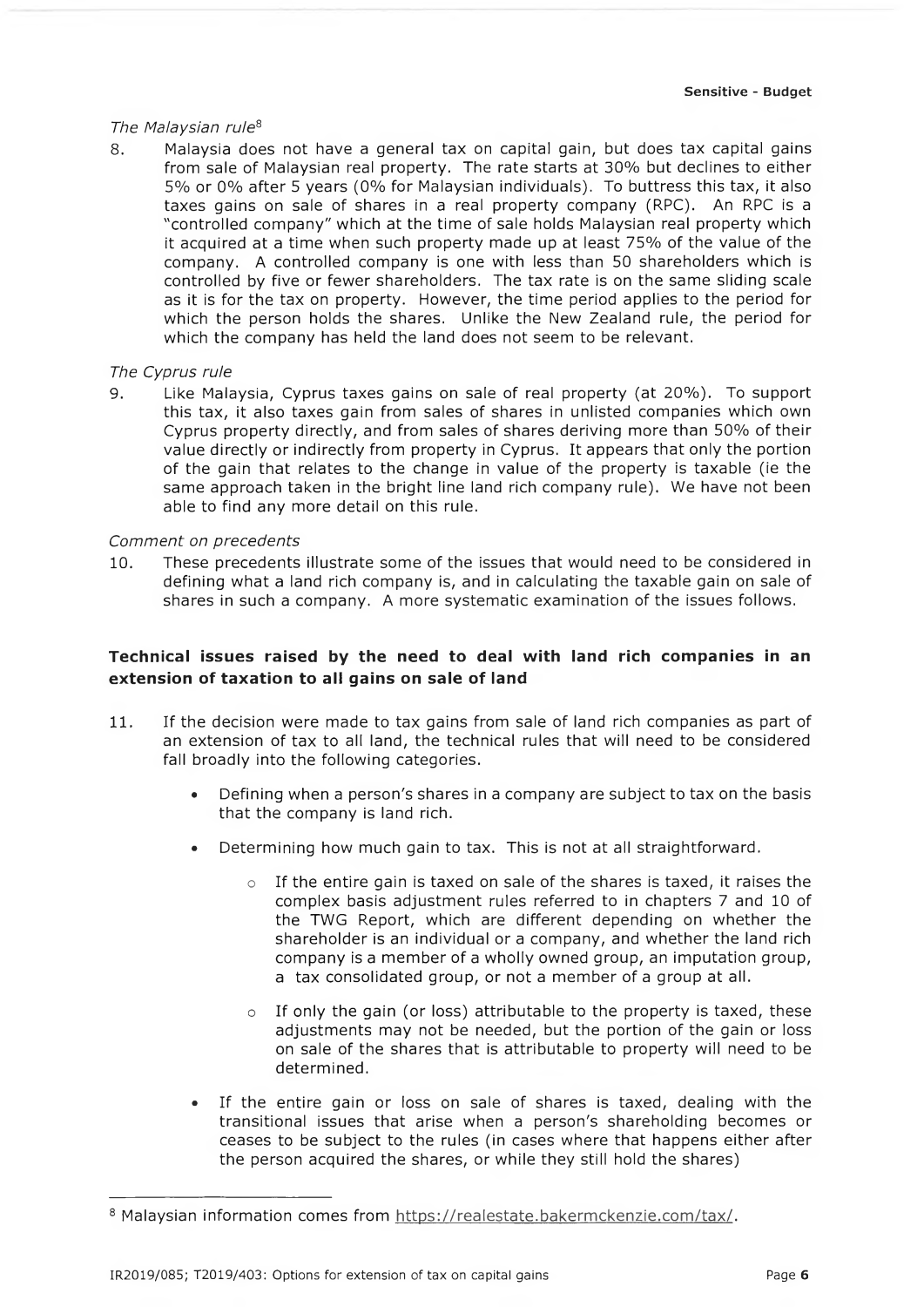#### *The Malaysian rule8*

8. Malaysia does not have a general tax on capital gain, but does tax capital gains from sale of Malaysian real property. The rate starts at 30% but declines to either 5% or 0% after 5 years (0% for Malaysian individuals). To buttress this tax, it also taxes gains on sale of shares in a real property company (RPC). An RPC is a "controlled company" which at the time of sale holds Malaysian real property which it acquired at a time when such property made up at least 75% of the value of the company. A controlled company is one with less than 50 shareholders which is controlled by five or fewer shareholders. The tax rate is on the same sliding scale as it is for the tax on property. However, the time period applies to the period for which the person holds the shares. Unlike the New Zealand rule, the period for which the company has held the land does not seem to be relevant.

#### *The Cyprus rule*

9. Like Malaysia, Cyprus taxes gains on sale of real property (at 20%). To support this tax, it also taxes gain from sales of shares in unlisted companies which own Cyprus property directly, and from sales of shares deriving more than 50% of their value directly or indirectly from property in Cyprus. It appears that only the portion of the gain that relates to the change in value of the property is taxable (ie the same approach taken in the bright line land rich company rule). We have not been able to find any more detail on this rule.

#### *Comment on precedents*

10. These precedents illustrate some of the issues that would need to be considered in defining what a land rich company is, and in calculating the taxable gain on sale of shares in such a company. A more systematic examination of the issues follows.

## Technical issues raised by the need to deal with land rich companies in an **extension of taxation to all gains on sale of land**

- 11. If the decision were made to tax gains from sale of land rich companies as part of an extension of tax to all land, the technical rules that will need to be considered fall broadly into the following categories.
	- Defining when a person's shares in a company are subject to tax on the basis that the company is land rich.
	- Determining how much gain to tax. This is not at all straightforward.
		- o If the entire gain is taxed on sale of the shares is taxed, it raises the complex basis adjustment rules referred to in chapters 7 and 10 of the TWG Report, which are different depending on whether the shareholder is an individual or a company, and whether the land rich company is a member of a wholly owned group, an imputation group, a tax consolidated group, or not a member of a group at all.
		- o If only the gain (or loss) attributable to the property is taxed, these adjustments may not be needed, but the portion of the gain or loss on sale of the shares that is attributable to property will need to be determined.
	- If the entire gain or loss on sale of shares is taxed, dealing with the transitional issues that arise when a person's shareholding becomes or ceases to be subject to the rules (in cases where that happens either after the person acquired the shares, or while they still hold the shares)

<sup>8</sup> Malaysian information comes from [https://realestate.bakermckenzie.com/tax/.](https://realestate.bakermckenzie.com/tax/)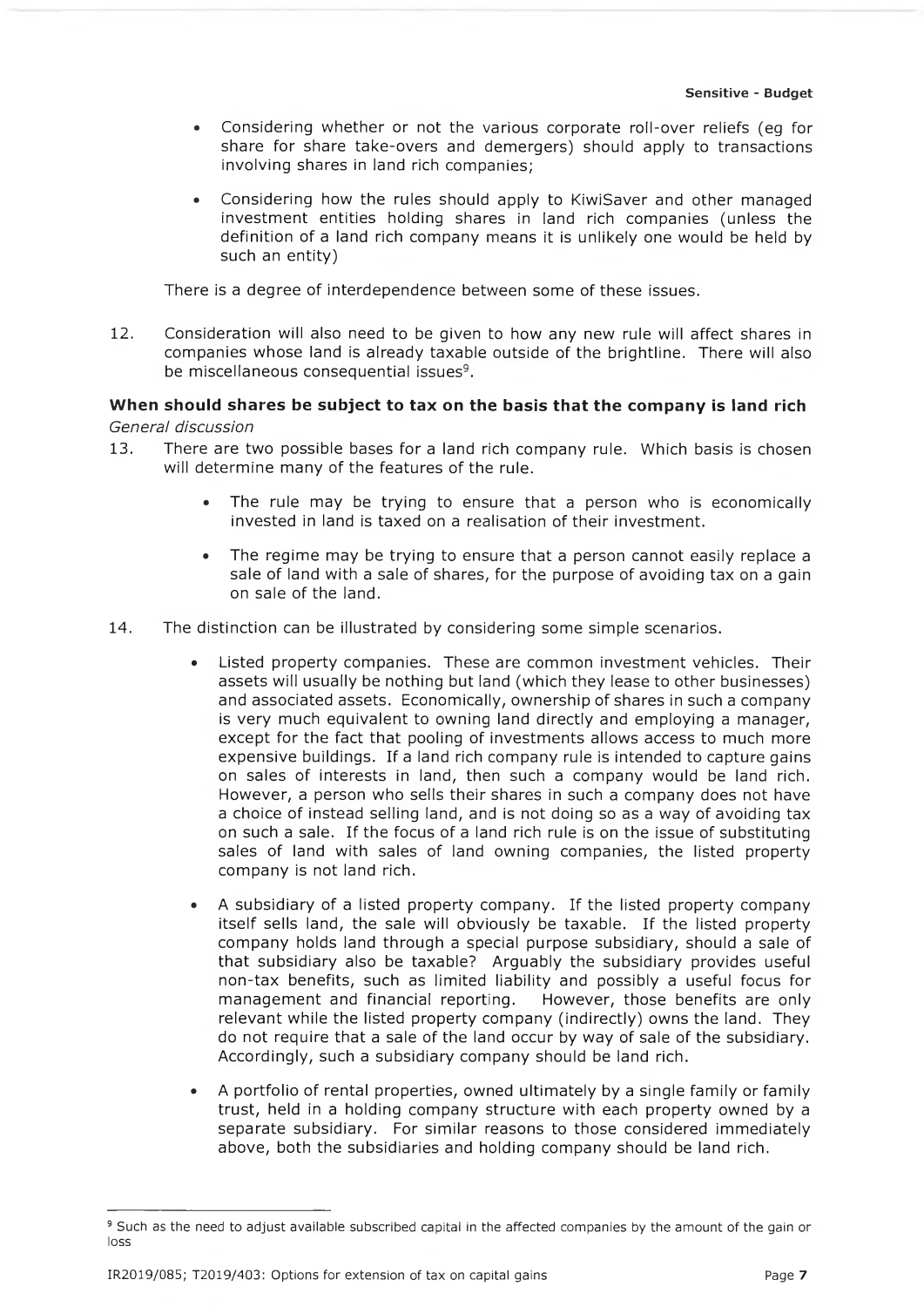- Considering whether or not the various corporate roll-over reliefs (eg for share for share take-overs and demergers) should apply to transactions involving shares in land rich companies;
- Considering how the rules should apply to KiwiSaver and other managed investment entities holding shares in land rich companies (unless the definition of a land rich company means it is unlikely one would be held by such an entity)

There is a degree of interdependence between some of these issues.

12. Consideration will also need to be given to how any new rule will affect shares in companies whose land is already taxable outside of the brightline. There will also be miscellaneous consequential issues<sup>9</sup>.

## **When should shares be subject to tax on the basis that the company is land rich** *General discussion*

- 13. There are two possible bases for a land rich company rule. Which basis is chosen will determine many of the features of the rule.
	- The rule may be trying to ensure that a person who is economically invested in land is taxed on a realisation of their investment.
	- The regime may be trying to ensure that a person cannot easily replace a sale of land with a sale of shares, for the purpose of avoiding tax on a gain on sale of the land.
- 14. The distinction can be illustrated by considering some simple scenarios.
	- Listed property companies. These are common investment vehicles. Their assets will usually be nothing but land (which they lease to other businesses) and associated assets. Economically, ownership of shares in such a company is very much equivalent to owning land directly and employing a manager, except for the fact that pooling of investments allows access to much more expensive buildings. If a land rich company rule is intended to capture gains on sales of interests in land, then such a company would be land rich. However, a person who sells their shares in such a company does not have a choice of instead selling land, and is not doing so as a way of avoiding tax on such a sale. If the focus of a land rich rule is on the issue of substituting sales of land with sales of land owning companies, the listed property company is not land rich.
	- A subsidiary of a listed property company. If the listed property company itself sells land, the sale will obviously be taxable. If the listed property company holds land through a special purpose subsidiary, should a sale of that subsidiary also be taxable? Arguably the subsidiary provides useful non-tax benefits, such as limited liability and possibly a useful focus for management and financial reporting. However, those benefits are only relevant while the listed property company (indirectly) owns the land. They do not require that a sale of the land occur by way of sale of the subsidiary. Accordingly, such a subsidiary company should be land rich.
	- A portfolio of rental properties, owned ultimately by a single family or family trust, held in a holding company structure with each property owned by a separate subsidiary. For similar reasons to those considered immediately above, both the subsidiaries and holding company should be land rich.

<sup>&</sup>lt;sup>9</sup> Such as the need to adjust available subscribed capital in the affected companies by the amount of the gain or loss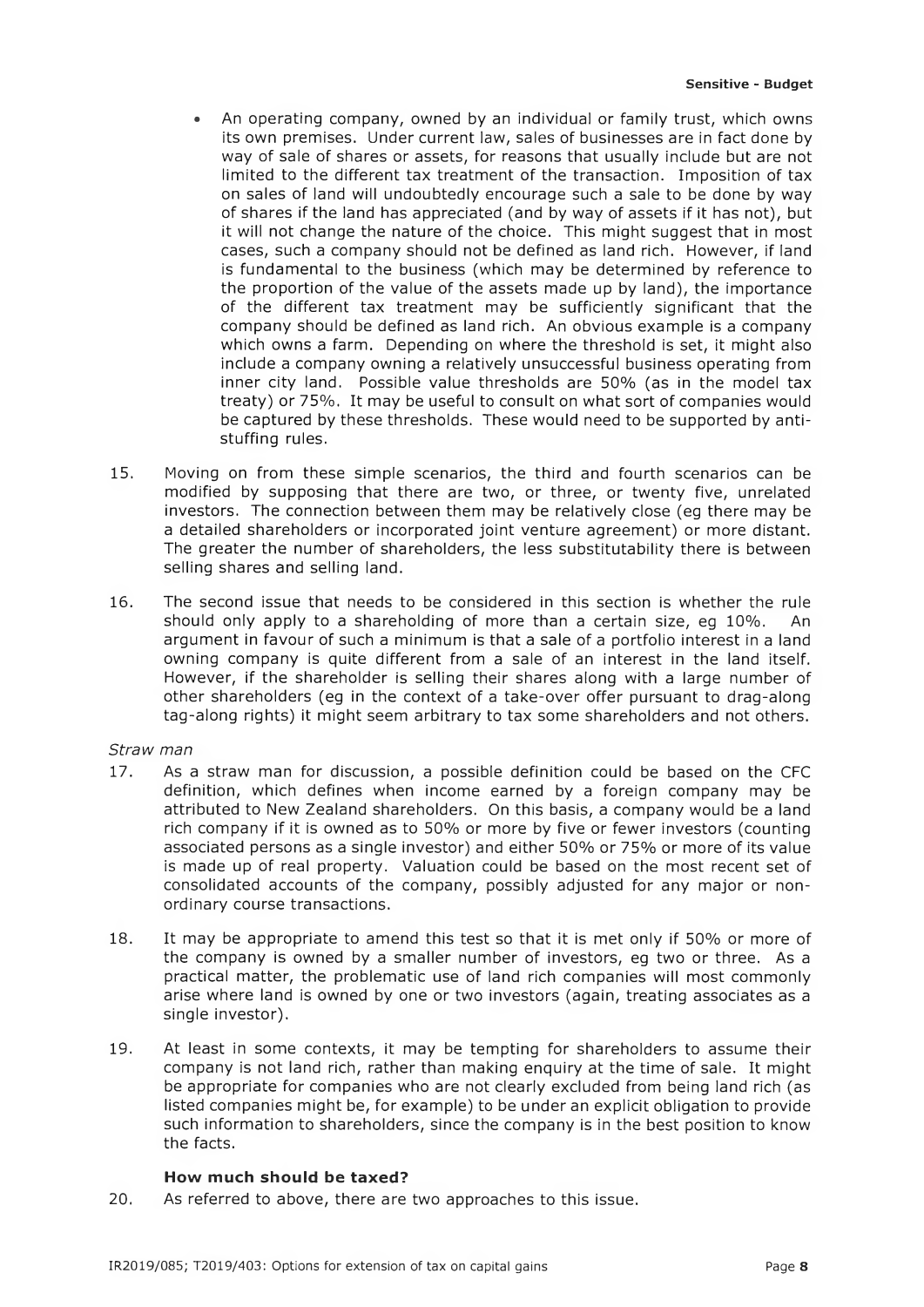- An operating company, owned by an individual or family trust, which owns its own premises. Under current law, sales of businesses are in fact done by way of sale of shares or assets, for reasons that usually include but are not limited to the different tax treatment of the transaction. Imposition of tax on sales of land will undoubtedly encourage such a sale to be done by way of shares if the land has appreciated (and by way of assets if it has not), but it will not change the nature of the choice. This might suggest that in most cases, such a company should not be defined as land rich. However, if land is fundamental to the business (which may be determined by reference to the proportion of the value of the assets made up by land), the importance of the different tax treatment may be sufficiently significant that the company should be defined as land rich. An obvious example is a company which owns a farm. Depending on where the threshold is set, it might also include a company owning a relatively unsuccessful business operating from inner city land. Possible value thresholds are 50% (as in the model tax treaty) or 75%. It may be useful to consult on what sort of companies would be captured by these thresholds. These would need to be supported by antistuffing rules.
- 15. Moving on from these simple scenarios, the third and fourth scenarios can be modified by supposing that there are two, or three, or twenty five, unrelated investors. The connection between them may be relatively close (eg there may be a detailed shareholders or incorporated joint venture agreement) or more distant. The greater the number of shareholders, the less substitutability there is between selling shares and selling land.
- 16. The second issue that needs to be considered in this section is whether the rule should only apply to a shareholding of more than a certain size, eg 10%. An argument in favour of such a minimum is that a sale of a portfolio interest in a land owning company is quite different from a sale of an interest in the land itself. However, if the shareholder is selling their shares along with a large number of other shareholders (eg in the context of a take-over offer pursuant to drag-along tag-along rights) it might seem arbitrary to tax some shareholders and not others.

#### *Straw man*

- 17. As a straw man for discussion, a possible definition could be based on the CFC definition, which defines when income earned by a foreign company may be attributed to New Zealand shareholders. On this basis, a company would be a land rich company if it is owned as to 50% or more by five or fewer investors (counting associated persons as a single investor) and either 50% or 75% or more of its value is made up of real property. Valuation could be based on the most recent set of consolidated accounts of the company, possibly adjusted for any major or nonordinary course transactions.
- 18. It may be appropriate to amend this test so that it is met only if 50% or more of the company is owned by a smaller number of investors, eg two or three. As a practical matter, the problematic use of land rich companies will most commonly arise where land is owned by one or two investors (again, treating associates as a single investor).
- 19. At least in some contexts, it may be tempting for shareholders to assume their company is not land rich, rather than making enquiry at the time of sale. It might be appropriate for companies who are not clearly excluded from being land rich (as listed companies might be, for example) to be under an explicit obligation to provide such information to shareholders, since the company is in the best position to know the facts.

#### **How much should be taxed?**

20. As referred to above, there are two approaches to this issue.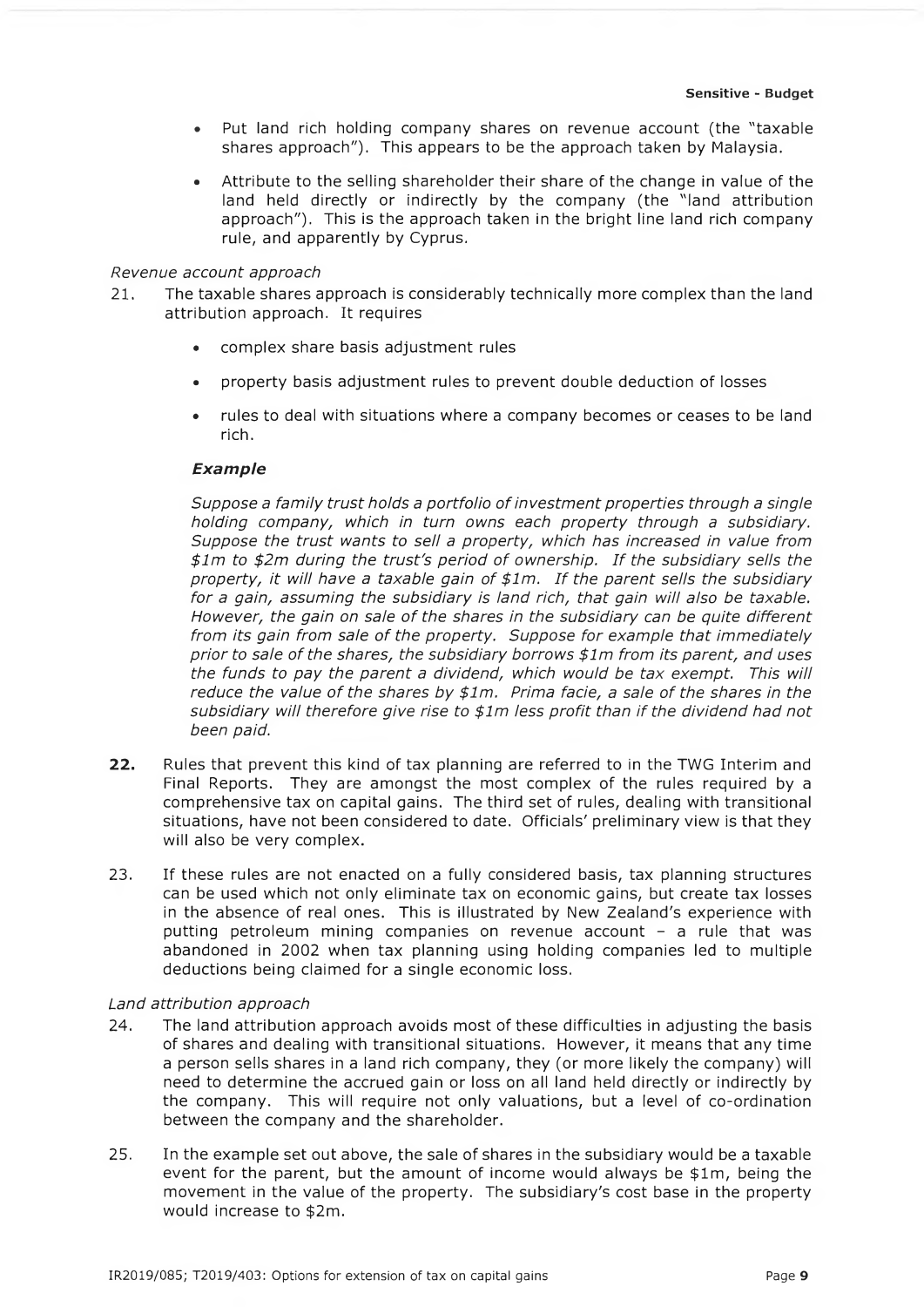- Put land rich holding company shares on revenue account (the "taxable shares approach"). This appears to be the approach taken by Malaysia.
- Attribute to the selling shareholder their share of the change in value of the land held directly or indirectly by the company (the "land attribution approach"). This is the approach taken in the bright line land rich company rule, and apparently by Cyprus.

#### *Revenue account approach*

- 21. The taxable shares approach is considerably technically more complex than the land attribution approach. It requires
	- complex share basis adjustment rules
	- property basis adjustment rules to prevent double deduction of losses
	- rules to deal with situations where a company becomes or ceases to be land rich.

#### *E x a m p le*

*Suppose a family trust holds a portfolio of investment properties through a single holding company, which in turn owns each property through a subsidiary. Suppose the trust wants to sell a property, which has increased in value from \$lm to \$2m during the trust's period of ownership. If the subsidiary sells the property, it will have a taxable gain of \$lm. If the parent sells the subsidiary for a gain, assuming the subsidiary is land rich, that gain will also be taxable. However, the gain on sale of the shares in the subsidiary can be quite different from its gain from sale of the property. Suppose for example that immediately prior to sale of the shares, the subsidiary borrows \$lm from its parent, and uses the funds to pay the parent a dividend, which would be tax exempt. This will reduce the value of the shares by \$lm. Prima facie, a sale of the shares in the subsidiary will therefore give rise to \$lm less profit than if the dividend had not been paid.*

- *22.* Rules that prevent this kind of tax planning are referred to in the TWG Interim and Final Reports. They are amongst the most complex of the rules required by a comprehensive tax on capital gains. The third set of rules, dealing with transitional situations, have not been considered to date. Officials' preliminary view is that they will also be very complex.
- 23. If these rules are not enacted on a fully considered basis, tax planning structures can be used which not only eliminate tax on economic gains, but create tax losses in the absence of real ones. This is illustrated by New Zealand's experience with putting petroleum mining companies on revenue account - a rule that was abandoned in 2002 when tax planning using holding companies led to multiple deductions being claimed for a single economic loss.

#### *Land attribution approach*

- 24. The land attribution approach avoids most of these difficulties in adjusting the basis of shares and dealing with transitional situations. However, it means that any time a person sells shares in a land rich company, they (or more likely the company) will need to determine the accrued gain or loss on all land held directly or indirectly by the company. This will require not only valuations, but a level of co-ordination between the company and the shareholder.
- 25. In the example set out above, the sale of shares in the subsidiary would be a taxable event for the parent, but the amount of income would always be  $$1m$ , being the movement in the value of the property. The subsidiary's cost base in the property would increase to \$2m.